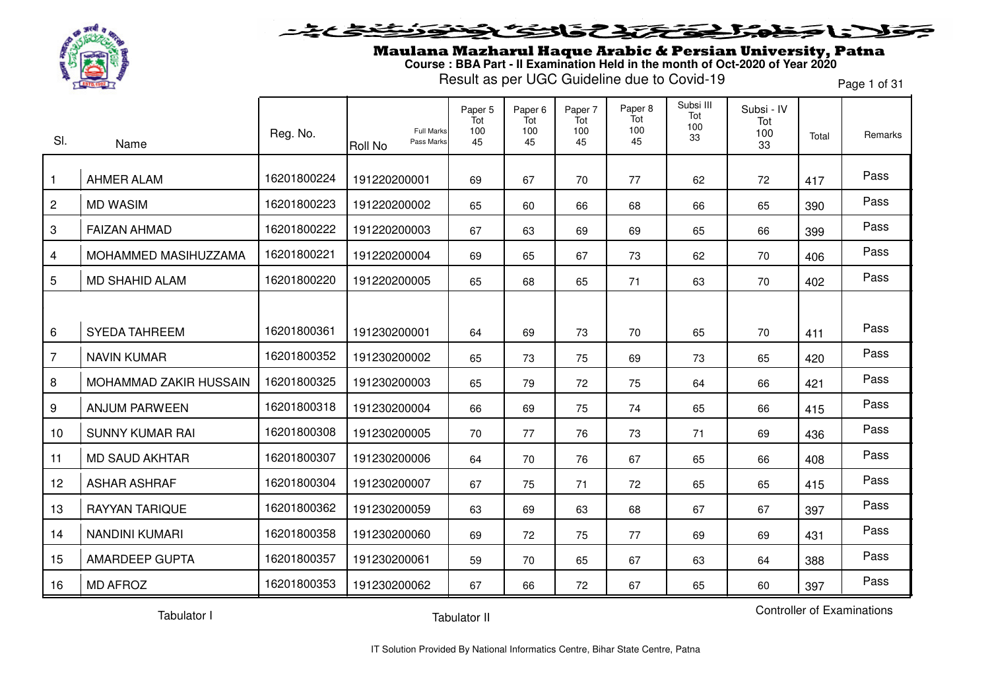

Maulana Mazharul Haque Arabic & Persian University, Patna **Course : BBA Part - II Examination Held in the month of Oct-2020 of Year 2020**

Result as per UGC Guideline due to Covid-19

Page 1 of 31

| SI.            | Name                   | Reg. No.    | <b>Full Marks</b><br>Pass Marks<br>Roll No | Paper 5<br>Tot<br>100<br>45 | Paper <sub>6</sub><br>Tot<br>100<br>45 | Paper 7<br>Tot<br>100<br>45 | Paper 8<br>Tot<br>100<br>45 | Subsi III<br>Tot<br>100<br>33 | Subsi - IV<br>Tot<br>100<br>33 | Total | Remarks |
|----------------|------------------------|-------------|--------------------------------------------|-----------------------------|----------------------------------------|-----------------------------|-----------------------------|-------------------------------|--------------------------------|-------|---------|
| $\mathbf{1}$   | <b>AHMER ALAM</b>      | 16201800224 | 191220200001                               | 69                          | 67                                     | 70                          | 77                          | 62                            | 72                             | 417   | Pass    |
| $\overline{c}$ | <b>MD WASIM</b>        | 16201800223 | 191220200002                               | 65                          | 60                                     | 66                          | 68                          | 66                            | 65                             | 390   | Pass    |
| 3              | <b>FAIZAN AHMAD</b>    | 16201800222 | 191220200003                               | 67                          | 63                                     | 69                          | 69                          | 65                            | 66                             | 399   | Pass    |
| 4              | MOHAMMED MASIHUZZAMA   | 16201800221 | 191220200004                               | 69                          | 65                                     | 67                          | 73                          | 62                            | 70                             | 406   | Pass    |
| 5              | <b>MD SHAHID ALAM</b>  | 16201800220 | 191220200005                               | 65                          | 68                                     | 65                          | 71                          | 63                            | 70                             | 402   | Pass    |
|                |                        |             |                                            |                             |                                        |                             |                             |                               |                                |       |         |
| 6              | <b>SYEDA TAHREEM</b>   | 16201800361 | 191230200001                               | 64                          | 69                                     | 73                          | 70                          | 65                            | 70                             | 411   | Pass    |
| $\overline{7}$ | <b>NAVIN KUMAR</b>     | 16201800352 | 191230200002                               | 65                          | 73                                     | 75                          | 69                          | 73                            | 65                             | 420   | Pass    |
| 8              | MOHAMMAD ZAKIR HUSSAIN | 16201800325 | 191230200003                               | 65                          | 79                                     | 72                          | 75                          | 64                            | 66                             | 421   | Pass    |
| 9              | <b>ANJUM PARWEEN</b>   | 16201800318 | 191230200004                               | 66                          | 69                                     | 75                          | 74                          | 65                            | 66                             | 415   | Pass    |
| 10             | <b>SUNNY KUMAR RAI</b> | 16201800308 | 191230200005                               | 70                          | 77                                     | 76                          | 73                          | 71                            | 69                             | 436   | Pass    |
| 11             | <b>MD SAUD AKHTAR</b>  | 16201800307 | 191230200006                               | 64                          | 70                                     | 76                          | 67                          | 65                            | 66                             | 408   | Pass    |
| 12             | <b>ASHAR ASHRAF</b>    | 16201800304 | 191230200007                               | 67                          | 75                                     | 71                          | 72                          | 65                            | 65                             | 415   | Pass    |
| 13             | <b>RAYYAN TARIQUE</b>  | 16201800362 | 191230200059                               | 63                          | 69                                     | 63                          | 68                          | 67                            | 67                             | 397   | Pass    |
| 14             | <b>NANDINI KUMARI</b>  | 16201800358 | 191230200060                               | 69                          | 72                                     | 75                          | 77                          | 69                            | 69                             | 431   | Pass    |
| 15             | <b>AMARDEEP GUPTA</b>  | 16201800357 | 191230200061                               | 59                          | 70                                     | 65                          | 67                          | 63                            | 64                             | 388   | Pass    |
| 16             | <b>MD AFROZ</b>        | 16201800353 | 191230200062                               | 67                          | 66                                     | 72                          | 67                          | 65                            | 60                             | 397   | Pass    |

Tabulator I

Tabulator II

Controller of Examinations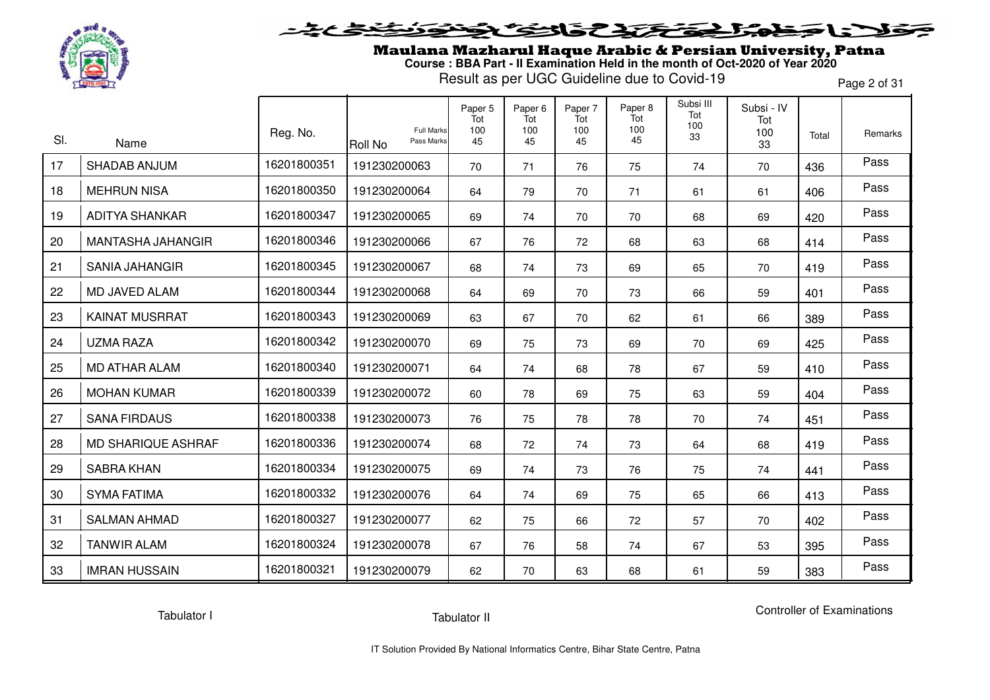

### **SENSTRES**  $\blacktriangleright$ 1 = T

Maulana Mazharul Haque Arabic & Persian University, Patna **Course : BBA Part - II Examination Held in the month of Oct-2020 of Year 2020**

Result as per UGC Guideline due to Covid-19

Page 2 of 31

| SI. |                             | Reg. No.    | <b>Full Marks</b><br>Pass Marks | Paper 5<br>Tot<br>100<br>45 | Paper <sub>6</sub><br>Tot<br>100 | Paper 7<br>Tot<br>100 | Paper 8<br>Tot<br>100<br>45 | Subsi III<br>Tot<br>100<br>33 | Subsi - IV<br>Tot<br>100 | Total | Remarks |
|-----|-----------------------------|-------------|---------------------------------|-----------------------------|----------------------------------|-----------------------|-----------------------------|-------------------------------|--------------------------|-------|---------|
| 17  | Name<br><b>SHADAB ANJUM</b> | 16201800351 | <b>Roll No</b>                  |                             | 45                               | 45                    |                             |                               | 33                       |       | Pass    |
|     |                             |             | 191230200063                    | 70                          | 71                               | 76                    | 75                          | 74                            | 70                       | 436   |         |
| 18  | <b>MEHRUN NISA</b>          | 16201800350 | 191230200064                    | 64                          | 79                               | 70                    | 71                          | 61                            | 61                       | 406   | Pass    |
| 19  | <b>ADITYA SHANKAR</b>       | 16201800347 | 191230200065                    | 69                          | 74                               | 70                    | 70                          | 68                            | 69                       | 420   | Pass    |
| 20  | MANTASHA JAHANGIR           | 16201800346 | 191230200066                    | 67                          | 76                               | 72                    | 68                          | 63                            | 68                       | 414   | Pass    |
| 21  | <b>SANIA JAHANGIR</b>       | 16201800345 | 191230200067                    | 68                          | 74                               | 73                    | 69                          | 65                            | 70                       | 419   | Pass    |
| 22  | MD JAVED ALAM               | 16201800344 | 191230200068                    | 64                          | 69                               | 70                    | 73                          | 66                            | 59                       | 401   | Pass    |
| 23  | <b>KAINAT MUSRRAT</b>       | 16201800343 | 191230200069                    | 63                          | 67                               | 70                    | 62                          | 61                            | 66                       | 389   | Pass    |
| 24  | <b>UZMA RAZA</b>            | 16201800342 | 191230200070                    | 69                          | 75                               | 73                    | 69                          | 70                            | 69                       | 425   | Pass    |
| 25  | MD ATHAR ALAM               | 16201800340 | 191230200071                    | 64                          | 74                               | 68                    | 78                          | 67                            | 59                       | 410   | Pass    |
| 26  | <b>MOHAN KUMAR</b>          | 16201800339 | 191230200072                    | 60                          | 78                               | 69                    | 75                          | 63                            | 59                       | 404   | Pass    |
| 27  | <b>SANA FIRDAUS</b>         | 16201800338 | 191230200073                    | 76                          | 75                               | 78                    | 78                          | 70                            | 74                       | 451   | Pass    |
| 28  | <b>MD SHARIQUE ASHRAF</b>   | 16201800336 | 191230200074                    | 68                          | 72                               | 74                    | 73                          | 64                            | 68                       | 419   | Pass    |
| 29  | <b>SABRA KHAN</b>           | 16201800334 | 191230200075                    | 69                          | 74                               | 73                    | 76                          | 75                            | 74                       | 441   | Pass    |
| 30  | <b>SYMA FATIMA</b>          | 16201800332 | 191230200076                    | 64                          | 74                               | 69                    | 75                          | 65                            | 66                       | 413   | Pass    |
| 31  | <b>SALMAN AHMAD</b>         | 16201800327 | 191230200077                    | 62                          | 75                               | 66                    | 72                          | 57                            | 70                       | 402   | Pass    |
| 32  | <b>TANWIR ALAM</b>          | 16201800324 | 191230200078                    | 67                          | 76                               | 58                    | 74                          | 67                            | 53                       | 395   | Pass    |
| 33  | <b>IMRAN HUSSAIN</b>        | 16201800321 | 191230200079                    | 62                          | 70                               | 63                    | 68                          | 61                            | 59                       | 383   | Pass    |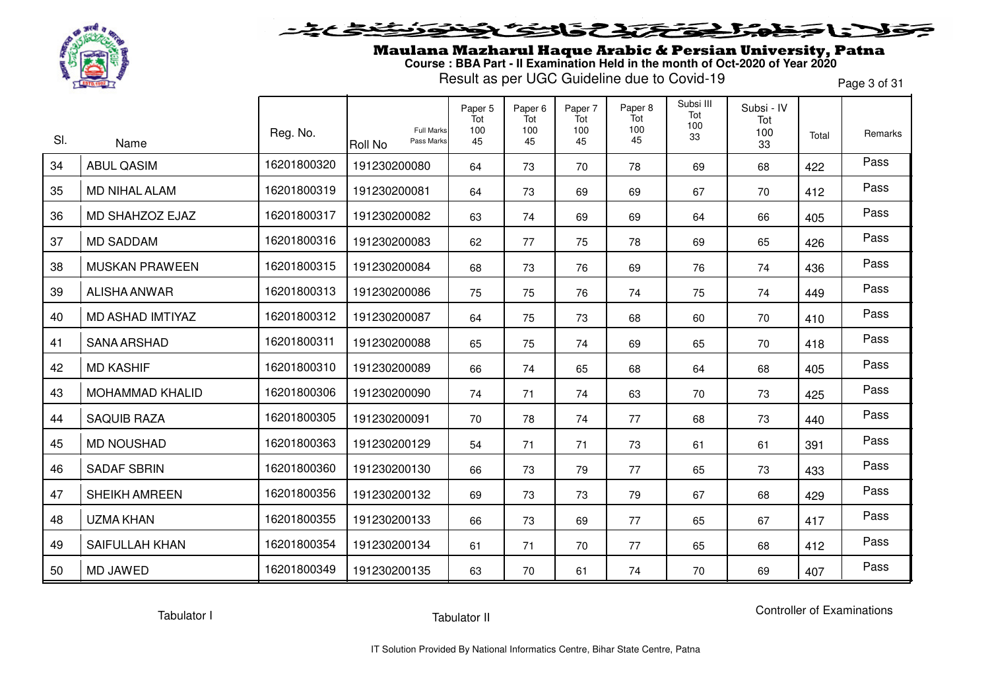

## 5315737 l a c

Maulana Mazharul Haque Arabic & Persian University, Patna **Course : BBA Part - II Examination Held in the month of Oct-2020 of Year 2020**

Result as per UGC Guideline due to Covid-19

Page 3 of 31

| SI. | Name                   | Reg. No.    | <b>Full Marks</b><br>Pass Marks<br>Roll No | Paper 5<br>Tot<br>100<br>45 | Paper 6<br>Tot<br>100<br>45 | Paper 7<br>Tot<br>100<br>45 | Paper 8<br>Tot<br>100<br>45 | Subsi III<br>Tot<br>100<br>33 | Subsi - IV<br>Tot<br>100<br>33 | Total | Remarks |
|-----|------------------------|-------------|--------------------------------------------|-----------------------------|-----------------------------|-----------------------------|-----------------------------|-------------------------------|--------------------------------|-------|---------|
| 34  | <b>ABUL QASIM</b>      | 16201800320 | 191230200080                               | 64                          | 73                          | 70                          | 78                          | 69                            | 68                             | 422   | Pass    |
| 35  | <b>MD NIHAL ALAM</b>   | 16201800319 | 191230200081                               | 64                          | 73                          | 69                          | 69                          | 67                            | 70                             | 412   | Pass    |
| 36  | MD SHAHZOZ EJAZ        | 16201800317 | 191230200082                               | 63                          | 74                          | 69                          | 69                          | 64                            | 66                             | 405   | Pass    |
| 37  | <b>MD SADDAM</b>       | 16201800316 | 191230200083                               | 62                          | 77                          | 75                          | 78                          | 69                            | 65                             | 426   | Pass    |
| 38  | <b>MUSKAN PRAWEEN</b>  | 16201800315 | 191230200084                               | 68                          | 73                          | 76                          | 69                          | 76                            | 74                             | 436   | Pass    |
| 39  | ALISHA ANWAR           | 16201800313 | 191230200086                               | 75                          | 75                          | 76                          | 74                          | 75                            | 74                             | 449   | Pass    |
| 40  | MD ASHAD IMTIYAZ       | 16201800312 | 191230200087                               | 64                          | 75                          | 73                          | 68                          | 60                            | 70                             | 410   | Pass    |
| 41  | <b>SANA ARSHAD</b>     | 16201800311 | 191230200088                               | 65                          | 75                          | 74                          | 69                          | 65                            | 70                             | 418   | Pass    |
| 42  | <b>MD KASHIF</b>       | 16201800310 | 191230200089                               | 66                          | 74                          | 65                          | 68                          | 64                            | 68                             | 405   | Pass    |
| 43  | <b>MOHAMMAD KHALID</b> | 16201800306 | 191230200090                               | 74                          | 71                          | 74                          | 63                          | 70                            | 73                             | 425   | Pass    |
| 44  | <b>SAQUIB RAZA</b>     | 16201800305 | 191230200091                               | 70                          | 78                          | 74                          | 77                          | 68                            | 73                             | 440   | Pass    |
| 45  | <b>MD NOUSHAD</b>      | 16201800363 | 191230200129                               | 54                          | 71                          | 71                          | 73                          | 61                            | 61                             | 391   | Pass    |
| 46  | <b>SADAF SBRIN</b>     | 16201800360 | 191230200130                               | 66                          | 73                          | 79                          | 77                          | 65                            | 73                             | 433   | Pass    |
| 47  | <b>SHEIKH AMREEN</b>   | 16201800356 | 191230200132                               | 69                          | 73                          | 73                          | 79                          | 67                            | 68                             | 429   | Pass    |
| 48  | <b>UZMA KHAN</b>       | 16201800355 | 191230200133                               | 66                          | 73                          | 69                          | 77                          | 65                            | 67                             | 417   | Pass    |
| 49  | <b>SAIFULLAH KHAN</b>  | 16201800354 | 191230200134                               | 61                          | 71                          | 70                          | 77                          | 65                            | 68                             | 412   | Pass    |
| 50  | <b>MD JAWED</b>        | 16201800349 | 191230200135                               | 63                          | 70                          | 61                          | 74                          | 70                            | 69                             | 407   | Pass    |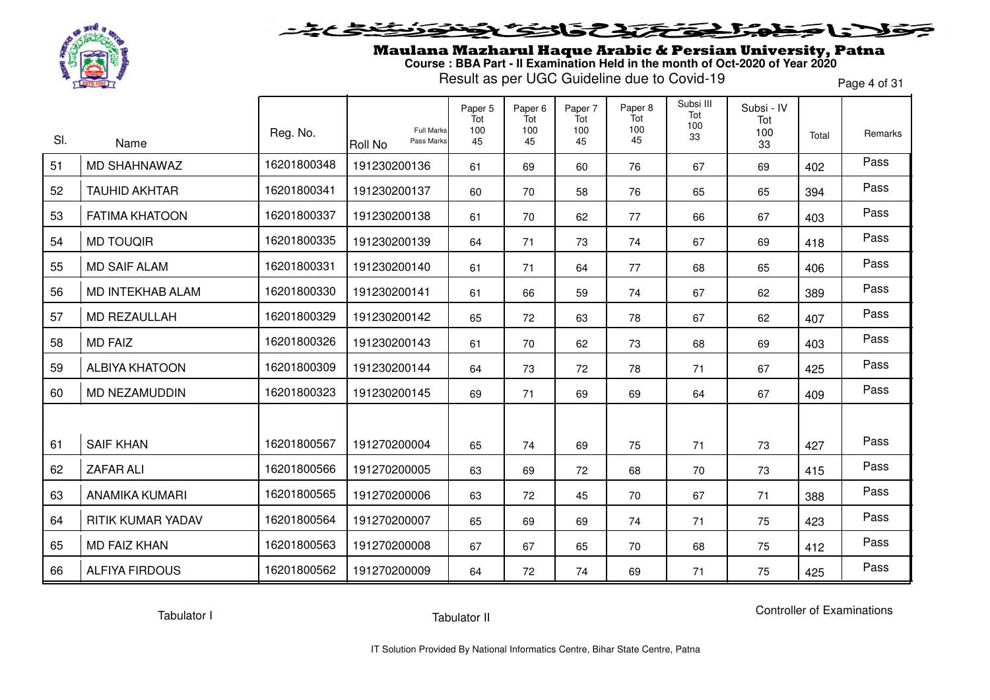

### **SENSTRES**  $\blacktriangleright$ l = "

Maulana Mazharul Haque Arabic & Persian University, Patna **Course : BBA Part - II Examination Held in the month of Oct-2020 of Year 2020**

Result as per UGC Guideline due to Covid-19

Page 4 of 31

| SI. | Name                  | Reg. No.    | Full Marks<br>Pass Marks<br><b>Roll No</b> | Paper 5<br>Tot<br>100<br>45 | Paper <sub>6</sub><br>Tot<br>100<br>45 | Paper 7<br>Tot<br>100<br>45 | Paper 8<br>Tot<br>100<br>45 | Subsi III<br>Tot<br>100<br>33 | Subsi - IV<br>Tot<br>100<br>33 | Total | Remarks |
|-----|-----------------------|-------------|--------------------------------------------|-----------------------------|----------------------------------------|-----------------------------|-----------------------------|-------------------------------|--------------------------------|-------|---------|
| 51  | <b>MD SHAHNAWAZ</b>   | 16201800348 | 191230200136                               | 61                          | 69                                     | 60                          | 76                          | 67                            | 69                             | 402   | Pass    |
| 52  | <b>TAUHID AKHTAR</b>  | 16201800341 | 191230200137                               | 60                          | 70                                     | 58                          | 76                          | 65                            | 65                             | 394   | Pass    |
| 53  | <b>FATIMA KHATOON</b> | 16201800337 | 191230200138                               | 61                          | 70                                     | 62                          | 77                          | 66                            | 67                             | 403   | Pass    |
| 54  | <b>MD TOUQIR</b>      | 16201800335 | 191230200139                               | 64                          | 71                                     | 73                          | 74                          | 67                            | 69                             | 418   | Pass    |
| 55  | <b>MD SAIF ALAM</b>   | 16201800331 | 191230200140                               | 61                          | 71                                     | 64                          | 77                          | 68                            | 65                             | 406   | Pass    |
| 56  | MD INTEKHAB ALAM      | 16201800330 | 191230200141                               | 61                          | 66                                     | 59                          | 74                          | 67                            | 62                             | 389   | Pass    |
| 57  | <b>MD REZAULLAH</b>   | 16201800329 | 191230200142                               | 65                          | 72                                     | 63                          | 78                          | 67                            | 62                             | 407   | Pass    |
| 58  | <b>MD FAIZ</b>        | 16201800326 | 191230200143                               | 61                          | 70                                     | 62                          | 73                          | 68                            | 69                             | 403   | Pass    |
| 59  | <b>ALBIYA KHATOON</b> | 16201800309 | 191230200144                               | 64                          | 73                                     | 72                          | 78                          | 71                            | 67                             | 425   | Pass    |
| 60  | <b>MD NEZAMUDDIN</b>  | 16201800323 | 191230200145                               | 69                          | 71                                     | 69                          | 69                          | 64                            | 67                             | 409   | Pass    |
|     |                       |             |                                            |                             |                                        |                             |                             |                               |                                |       |         |
| 61  | <b>SAIF KHAN</b>      | 16201800567 | 191270200004                               | 65                          | 74                                     | 69                          | 75                          | 71                            | 73                             | 427   | Pass    |
| 62  | <b>ZAFAR ALI</b>      | 16201800566 | 191270200005                               | 63                          | 69                                     | 72                          | 68                          | 70                            | 73                             | 415   | Pass    |
| 63  | <b>ANAMIKA KUMARI</b> | 16201800565 | 191270200006                               | 63                          | 72                                     | 45                          | 70                          | 67                            | 71                             | 388   | Pass    |
| 64  | RITIK KUMAR YADAV     | 16201800564 | 191270200007                               | 65                          | 69                                     | 69                          | 74                          | 71                            | 75                             | 423   | Pass    |
| 65  | <b>MD FAIZ KHAN</b>   | 16201800563 | 191270200008                               | 67                          | 67                                     | 65                          | 70                          | 68                            | 75                             | 412   | Pass    |
| 66  | <b>ALFIYA FIRDOUS</b> | 16201800562 | 191270200009                               | 64                          | 72                                     | 74                          | 69                          | 71                            | 75                             | 425   | Pass    |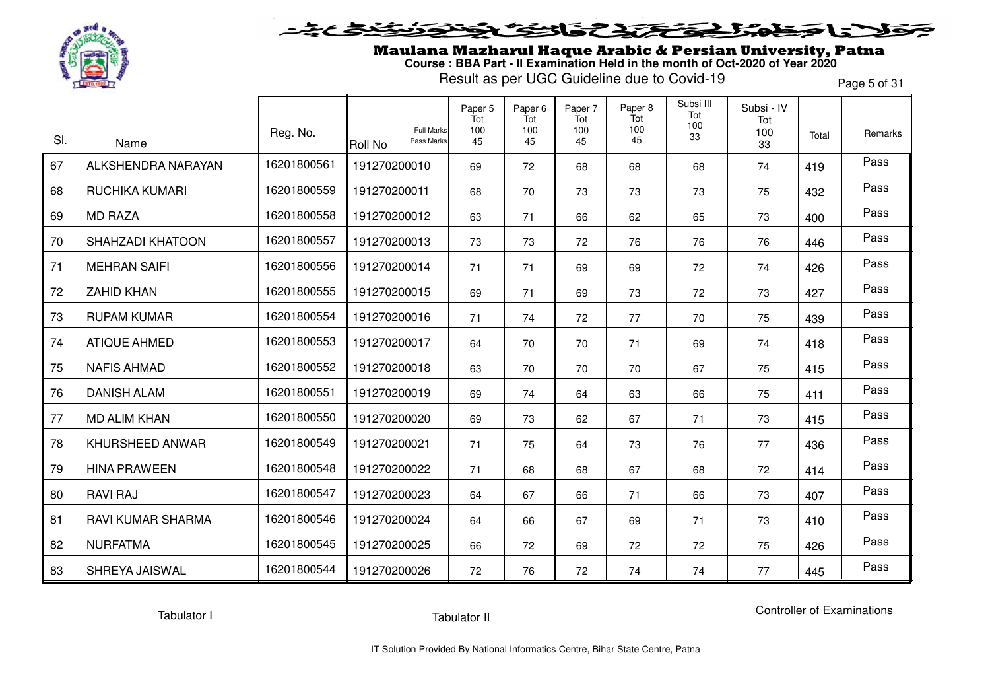

## 5315737 LE E

Maulana Mazharul Haque Arabic & Persian University, Patna **Course : BBA Part - II Examination Held in the month of Oct-2020 of Year 2020**

Result as per UGC Guideline due to Covid-19

Page 5 of 31

| SI. |                            | Reg. No.    | <b>Full Marks</b><br>Pass Marks | Paper 5<br>Tot<br>100<br>45 | Paper 6<br>Tot<br>100<br>45 | Paper 7<br>Tot<br>100<br>45 | Paper 8<br>Tot<br>100<br>45 | Subsi III<br>Tot<br>100<br>33 | Subsi - IV<br>Tot<br>100 | Total | Remarks |
|-----|----------------------------|-------------|---------------------------------|-----------------------------|-----------------------------|-----------------------------|-----------------------------|-------------------------------|--------------------------|-------|---------|
| 67  | Name<br>ALKSHENDRA NARAYAN | 16201800561 | Roll No<br>191270200010         | 69                          | 72                          | 68                          | 68                          | 68                            | 33<br>74                 | 419   | Pass    |
| 68  | <b>RUCHIKA KUMARI</b>      | 16201800559 | 191270200011                    | 68                          | 70                          | 73                          | 73                          | 73                            | 75                       | 432   | Pass    |
| 69  | <b>MD RAZA</b>             | 16201800558 | 191270200012                    | 63                          | 71                          | 66                          | 62                          | 65                            | 73                       | 400   | Pass    |
| 70  | SHAHZADI KHATOON           | 16201800557 | 191270200013                    | 73                          | 73                          | 72                          | 76                          | 76                            | 76                       | 446   | Pass    |
| 71  | <b>MEHRAN SAIFI</b>        | 16201800556 | 191270200014                    | 71                          | 71                          | 69                          | 69                          | 72                            | 74                       | 426   | Pass    |
| 72  | <b>ZAHID KHAN</b>          | 16201800555 | 191270200015                    | 69                          | 71                          | 69                          | 73                          | 72                            | 73                       | 427   | Pass    |
| 73  | <b>RUPAM KUMAR</b>         | 16201800554 | 191270200016                    | 71                          | 74                          | 72                          | 77                          | 70                            | 75                       | 439   | Pass    |
| 74  | <b>ATIQUE AHMED</b>        | 16201800553 | 191270200017                    | 64                          | 70                          | 70                          | 71                          | 69                            | 74                       | 418   | Pass    |
| 75  | <b>NAFIS AHMAD</b>         | 16201800552 | 191270200018                    | 63                          | 70                          | 70                          | 70                          | 67                            | 75                       | 415   | Pass    |
| 76  | <b>DANISH ALAM</b>         | 16201800551 | 191270200019                    | 69                          | 74                          | 64                          | 63                          | 66                            | 75                       | 411   | Pass    |
| 77  | <b>MD ALIM KHAN</b>        | 16201800550 | 191270200020                    | 69                          | 73                          | 62                          | 67                          | 71                            | 73                       | 415   | Pass    |
| 78  | KHURSHEED ANWAR            | 16201800549 | 191270200021                    | 71                          | 75                          | 64                          | 73                          | 76                            | 77                       | 436   | Pass    |
| 79  | <b>HINA PRAWEEN</b>        | 16201800548 | 191270200022                    | 71                          | 68                          | 68                          | 67                          | 68                            | 72                       | 414   | Pass    |
| 80  | <b>RAVI RAJ</b>            | 16201800547 | 191270200023                    | 64                          | 67                          | 66                          | 71                          | 66                            | 73                       | 407   | Pass    |
| 81  | RAVI KUMAR SHARMA          | 16201800546 | 191270200024                    | 64                          | 66                          | 67                          | 69                          | 71                            | 73                       | 410   | Pass    |
| 82  | <b>NURFATMA</b>            | 16201800545 | 191270200025                    | 66                          | 72                          | 69                          | 72                          | 72                            | 75                       | 426   | Pass    |
| 83  | SHREYA JAISWAL             | 16201800544 | 191270200026                    | 72                          | 76                          | 72                          | 74                          | 74                            | 77                       | 445   | Pass    |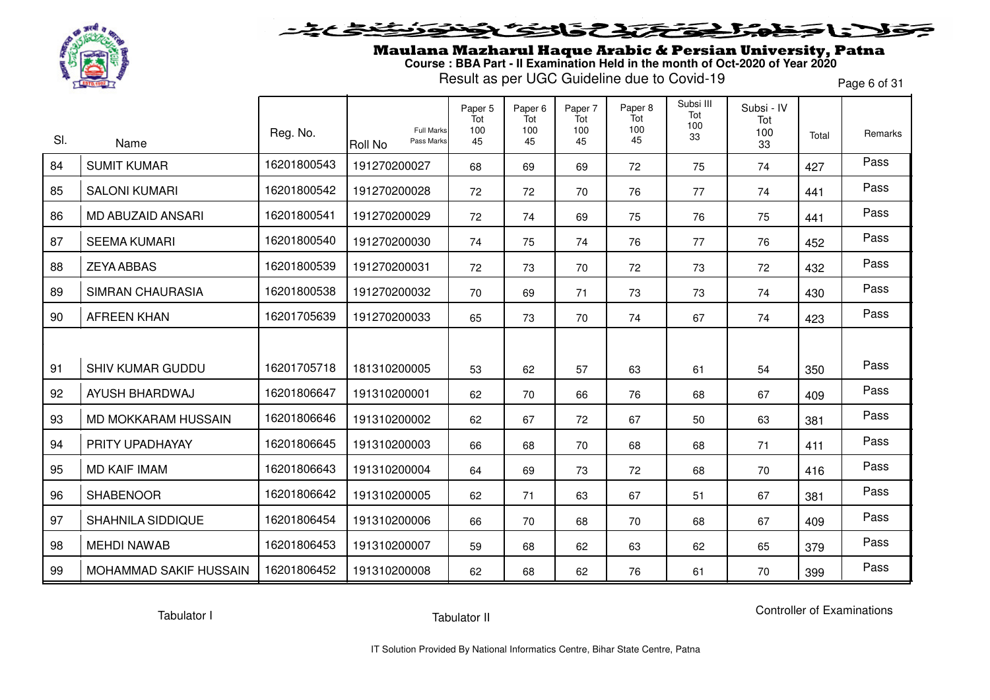

Maulana Mazharul Haque Arabic & Persian University, Patna **Course : BBA Part - II Examination Held in the month of Oct-2020 of Year 2020**

Result as per UGC Guideline due to Covid-19

Page 6 of 31

| SI. |                          | Reg. No.    | <b>Full Marks</b>     | Paper 5<br>Tot<br>100 | Paper <sub>6</sub><br>Tot<br>100 | Paper 7<br>Tot<br>100 | Paper 8<br>Tot<br>100 | Subsi III<br>Tot<br>100<br>33 | Subsi - IV<br>Tot<br>100 | Total | Remarks |
|-----|--------------------------|-------------|-----------------------|-----------------------|----------------------------------|-----------------------|-----------------------|-------------------------------|--------------------------|-------|---------|
|     | Name                     |             | Pass Marks<br>Roll No | 45                    | 45                               | 45                    | 45                    |                               | 33                       |       |         |
| 84  | <b>SUMIT KUMAR</b>       | 16201800543 | 191270200027          | 68                    | 69                               | 69                    | 72                    | 75                            | 74                       | 427   | Pass    |
| 85  | <b>SALONI KUMARI</b>     | 16201800542 | 191270200028          | 72                    | 72                               | 70                    | 76                    | 77                            | 74                       | 441   | Pass    |
| 86  | <b>MD ABUZAID ANSARI</b> | 16201800541 | 191270200029          | 72                    | 74                               | 69                    | 75                    | 76                            | 75                       | 441   | Pass    |
| 87  | <b>SEEMA KUMARI</b>      | 16201800540 | 191270200030          | 74                    | 75                               | 74                    | 76                    | 77                            | 76                       | 452   | Pass    |
| 88  | <b>ZEYA ABBAS</b>        | 16201800539 | 191270200031          | 72                    | 73                               | 70                    | 72                    | 73                            | 72                       | 432   | Pass    |
| 89  | <b>SIMRAN CHAURASIA</b>  | 16201800538 | 191270200032          | 70                    | 69                               | 71                    | 73                    | 73                            | 74                       | 430   | Pass    |
| 90  | <b>AFREEN KHAN</b>       | 16201705639 | 191270200033          | 65                    | 73                               | 70                    | 74                    | 67                            | 74                       | 423   | Pass    |
|     |                          |             |                       |                       |                                  |                       |                       |                               |                          |       |         |
| 91  | <b>SHIV KUMAR GUDDU</b>  | 16201705718 | 181310200005          | 53                    | 62                               | 57                    | 63                    | 61                            | 54                       | 350   | Pass    |
| 92  | AYUSH BHARDWAJ           | 16201806647 | 191310200001          | 62                    | 70                               | 66                    | 76                    | 68                            | 67                       | 409   | Pass    |
| 93  | MD MOKKARAM HUSSAIN      | 16201806646 | 191310200002          | 62                    | 67                               | 72                    | 67                    | 50                            | 63                       | 381   | Pass    |
| 94  | PRITY UPADHAYAY          | 16201806645 | 191310200003          | 66                    | 68                               | 70                    | 68                    | 68                            | 71                       | 411   | Pass    |
| 95  | <b>MD KAIF IMAM</b>      | 16201806643 | 191310200004          | 64                    | 69                               | 73                    | 72                    | 68                            | 70                       | 416   | Pass    |
| 96  | <b>SHABENOOR</b>         | 16201806642 | 191310200005          | 62                    | 71                               | 63                    | 67                    | 51                            | 67                       | 381   | Pass    |
| 97  | <b>SHAHNILA SIDDIQUE</b> | 16201806454 | 191310200006          | 66                    | 70                               | 68                    | 70                    | 68                            | 67                       | 409   | Pass    |
| 98  | <b>MEHDI NAWAB</b>       | 16201806453 | 191310200007          | 59                    | 68                               | 62                    | 63                    | 62                            | 65                       | 379   | Pass    |
| 99  | MOHAMMAD SAKIF HUSSAIN   | 16201806452 | 191310200008          | 62                    | 68                               | 62                    | 76                    | 61                            | 70                       | 399   | Pass    |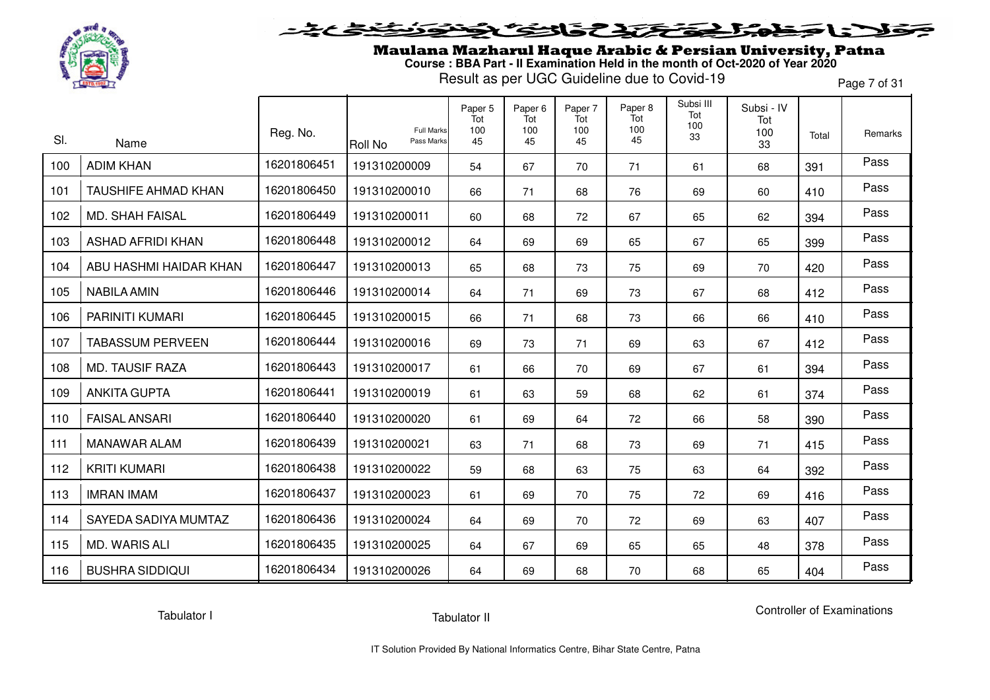

### **SENSTRES**  $\blacktriangleright$ l = "

Maulana Mazharul Haque Arabic & Persian University, Patna **Course : BBA Part - II Examination Held in the month of Oct-2020 of Year 2020**

Result as per UGC Guideline due to Covid-19

Page 7 of 31

| SI. | Name                       | Reg. No.    | <b>Full Marks</b><br>Pass Marks | Paper 5<br>Tot<br>100<br>45 | Paper <sub>6</sub><br>Tot<br>100<br>45 | Paper 7<br>Tot<br>100<br>45 | Paper 8<br>Tot<br>100<br>45 | Subsi III<br>Tot<br>100<br>33 | Subsi - IV<br>Tot<br>100<br>33 | Total | Remarks |
|-----|----------------------------|-------------|---------------------------------|-----------------------------|----------------------------------------|-----------------------------|-----------------------------|-------------------------------|--------------------------------|-------|---------|
| 100 | <b>ADIM KHAN</b>           | 16201806451 | Roll No<br>191310200009         | 54                          | 67                                     | 70                          | 71                          | 61                            | 68                             | 391   | Pass    |
| 101 | <b>TAUSHIFE AHMAD KHAN</b> | 16201806450 | 191310200010                    | 66                          | 71                                     | 68                          | 76                          | 69                            | 60                             | 410   | Pass    |
| 102 | <b>MD. SHAH FAISAL</b>     | 16201806449 | 191310200011                    | 60                          | 68                                     | 72                          | 67                          | 65                            | 62                             | 394   | Pass    |
| 103 | <b>ASHAD AFRIDI KHAN</b>   | 16201806448 | 191310200012                    | 64                          | 69                                     | 69                          | 65                          | 67                            | 65                             | 399   | Pass    |
| 104 | ABU HASHMI HAIDAR KHAN     | 16201806447 | 191310200013                    | 65                          | 68                                     | 73                          | 75                          | 69                            | 70                             | 420   | Pass    |
| 105 | <b>NABILA AMIN</b>         | 16201806446 | 191310200014                    | 64                          | 71                                     | 69                          | 73                          | 67                            | 68                             | 412   | Pass    |
| 106 | <b>PARINITI KUMARI</b>     | 16201806445 | 191310200015                    | 66                          | 71                                     | 68                          | 73                          | 66                            | 66                             | 410   | Pass    |
| 107 | <b>TABASSUM PERVEEN</b>    | 16201806444 | 191310200016                    | 69                          | 73                                     | 71                          | 69                          | 63                            | 67                             | 412   | Pass    |
| 108 | <b>MD. TAUSIF RAZA</b>     | 16201806443 | 191310200017                    | 61                          | 66                                     | 70                          | 69                          | 67                            | 61                             | 394   | Pass    |
| 109 | <b>ANKITA GUPTA</b>        | 16201806441 | 191310200019                    | 61                          | 63                                     | 59                          | 68                          | 62                            | 61                             | 374   | Pass    |
| 110 | <b>FAISAL ANSARI</b>       | 16201806440 | 191310200020                    | 61                          | 69                                     | 64                          | 72                          | 66                            | 58                             | 390   | Pass    |
| 111 | <b>MANAWAR ALAM</b>        | 16201806439 | 191310200021                    | 63                          | 71                                     | 68                          | 73                          | 69                            | 71                             | 415   | Pass    |
| 112 | <b>KRITI KUMARI</b>        | 16201806438 | 191310200022                    | 59                          | 68                                     | 63                          | 75                          | 63                            | 64                             | 392   | Pass    |
| 113 | <b>IMRAN IMAM</b>          | 16201806437 | 191310200023                    | 61                          | 69                                     | 70                          | 75                          | 72                            | 69                             | 416   | Pass    |
| 114 | SAYEDA SADIYA MUMTAZ       | 16201806436 | 191310200024                    | 64                          | 69                                     | 70                          | 72                          | 69                            | 63                             | 407   | Pass    |
| 115 | <b>MD. WARIS ALI</b>       | 16201806435 | 191310200025                    | 64                          | 67                                     | 69                          | 65                          | 65                            | 48                             | 378   | Pass    |
| 116 | <b>BUSHRA SIDDIQUI</b>     | 16201806434 | 191310200026                    | 64                          | 69                                     | 68                          | 70                          | 68                            | 65                             | 404   | Pass    |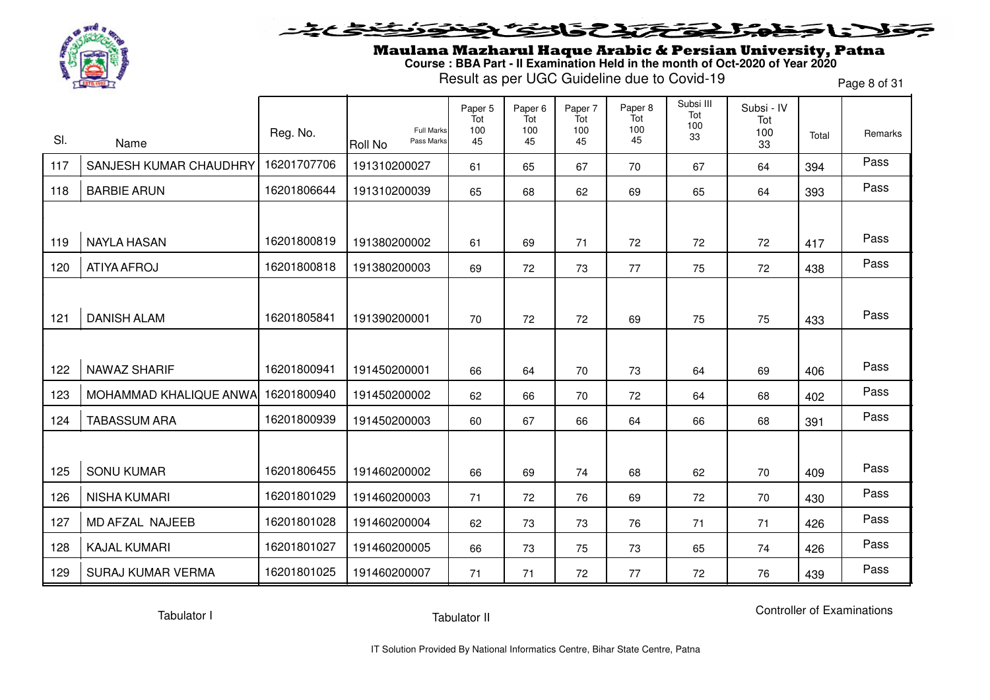

#### **SENSCAP** LS –  $\blacktriangleright$

Maulana Mazharul Haque Arabic & Persian University, Patna **Course : BBA Part - II Examination Held in the month of Oct-2020 of Year 2020**

Result as per UGC Guideline due to Covid-19

Page 8 of 31

| SI. | Name                     | Reg. No.    | <b>Full Marks</b><br>Pass Marks<br>Roll No | Paper 5<br>Tot<br>100<br>45 | Paper 6<br>Tot<br>100<br>45 | Paper 7<br>Tot<br>100<br>45 | Paper 8<br>Tot<br>100<br>45 | Subsi III<br>Tot<br>100<br>33 | Subsi - IV<br>Tot<br>100<br>33 | Total | Remarks |
|-----|--------------------------|-------------|--------------------------------------------|-----------------------------|-----------------------------|-----------------------------|-----------------------------|-------------------------------|--------------------------------|-------|---------|
| 117 | SANJESH KUMAR CHAUDHRY   | 16201707706 | 191310200027                               | 61                          | 65                          | 67                          | 70                          | 67                            | 64                             | 394   | Pass    |
| 118 | <b>BARBIE ARUN</b>       | 16201806644 | 191310200039                               | 65                          | 68                          | 62                          | 69                          | 65                            | 64                             | 393   | Pass    |
|     |                          |             |                                            |                             |                             |                             |                             |                               |                                |       |         |
| 119 | <b>NAYLA HASAN</b>       | 16201800819 | 191380200002                               | 61                          | 69                          | 71                          | 72                          | 72                            | 72                             | 417   | Pass    |
| 120 | ATIYA AFROJ              | 16201800818 | 191380200003                               | 69                          | 72                          | 73                          | 77                          | 75                            | 72                             | 438   | Pass    |
|     |                          |             |                                            |                             |                             |                             |                             |                               |                                |       |         |
| 121 | <b>DANISH ALAM</b>       | 16201805841 | 191390200001                               | 70                          | 72                          | 72                          | 69                          | 75                            | 75                             | 433   | Pass    |
|     |                          |             |                                            |                             |                             |                             |                             |                               |                                |       |         |
| 122 | <b>NAWAZ SHARIF</b>      | 16201800941 | 191450200001                               | 66                          | 64                          | 70                          | 73                          | 64                            | 69                             | 406   | Pass    |
| 123 | MOHAMMAD KHALIQUE ANWA   | 16201800940 | 191450200002                               | 62                          | 66                          | 70                          | 72                          | 64                            | 68                             | 402   | Pass    |
| 124 | <b>TABASSUM ARA</b>      | 16201800939 | 191450200003                               | 60                          | 67                          | 66                          | 64                          | 66                            | 68                             | 391   | Pass    |
|     |                          |             |                                            |                             |                             |                             |                             |                               |                                |       |         |
| 125 | <b>SONU KUMAR</b>        | 16201806455 | 191460200002                               | 66                          | 69                          | 74                          | 68                          | 62                            | 70                             | 409   | Pass    |
| 126 | <b>NISHA KUMARI</b>      | 16201801029 | 191460200003                               | 71                          | 72                          | 76                          | 69                          | 72                            | 70                             | 430   | Pass    |
| 127 | MD AFZAL NAJEEB          | 16201801028 | 191460200004                               | 62                          | 73                          | 73                          | 76                          | 71                            | 71                             | 426   | Pass    |
| 128 | <b>KAJAL KUMARI</b>      | 16201801027 | 191460200005                               | 66                          | 73                          | 75                          | 73                          | 65                            | 74                             | 426   | Pass    |
| 129 | <b>SURAJ KUMAR VERMA</b> | 16201801025 | 191460200007                               | 71                          | 71                          | 72                          | 77                          | 72                            | 76                             | 439   | Pass    |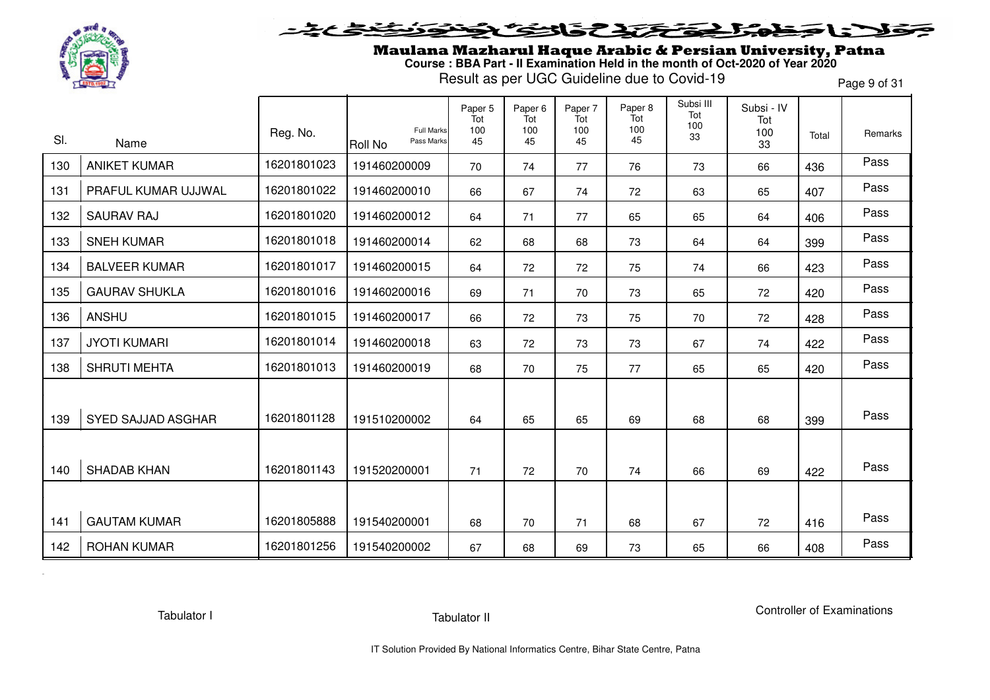

Maulana Mazharul Haque Arabic & Persian University, Patna **Course : BBA Part - II Examination Held in the month of Oct-2020 of Year 2020**

Result as per UGC Guideline due to Covid-19

Page 9 of 31

|     |                           |             |                                                   | Paper 5<br>Tot | Paper <sub>6</sub><br>Tot | Paper 7<br>Tot | Paper 8<br>Tot | Subsi III<br>Tot | Subsi - IV<br>Tot |       |         |
|-----|---------------------------|-------------|---------------------------------------------------|----------------|---------------------------|----------------|----------------|------------------|-------------------|-------|---------|
| SI. | Name                      | Reg. No.    | <b>Full Marks</b><br>Pass Marks<br><b>Roll No</b> | 100<br>45      | 100<br>45                 | 100<br>45      | 100<br>45      | 100<br>33        | 100<br>33         | Total | Remarks |
| 130 | <b>ANIKET KUMAR</b>       | 16201801023 | 191460200009                                      | 70             | 74                        | 77             | 76             | 73               | 66                | 436   | Pass    |
| 131 | PRAFUL KUMAR UJJWAL       | 16201801022 | 191460200010                                      | 66             | 67                        | 74             | 72             | 63               | 65                | 407   | Pass    |
| 132 | <b>SAURAV RAJ</b>         | 16201801020 | 191460200012                                      | 64             | 71                        | 77             | 65             | 65               | 64                | 406   | Pass    |
| 133 | <b>SNEH KUMAR</b>         | 16201801018 | 191460200014                                      | 62             | 68                        | 68             | 73             | 64               | 64                | 399   | Pass    |
| 134 | <b>BALVEER KUMAR</b>      | 16201801017 | 191460200015                                      | 64             | 72                        | 72             | 75             | 74               | 66                | 423   | Pass    |
| 135 | <b>GAURAV SHUKLA</b>      | 16201801016 | 191460200016                                      | 69             | 71                        | 70             | 73             | 65               | 72                | 420   | Pass    |
| 136 | <b>ANSHU</b>              | 16201801015 | 191460200017                                      | 66             | 72                        | 73             | 75             | 70               | 72                | 428   | Pass    |
| 137 | <b>JYOTI KUMARI</b>       | 16201801014 | 191460200018                                      | 63             | 72                        | 73             | 73             | 67               | 74                | 422   | Pass    |
| 138 | <b>SHRUTI MEHTA</b>       | 16201801013 | 191460200019                                      | 68             | 70                        | 75             | 77             | 65               | 65                | 420   | Pass    |
|     |                           |             |                                                   |                |                           |                |                |                  |                   |       |         |
| 139 | <b>SYED SAJJAD ASGHAR</b> | 16201801128 | 191510200002                                      | 64             | 65                        | 65             | 69             | 68               | 68                | 399   | Pass    |
|     |                           |             |                                                   |                |                           |                |                |                  |                   |       |         |
| 140 | <b>SHADAB KHAN</b>        | 16201801143 | 191520200001                                      | 71             | 72                        | 70             | 74             | 66               | 69                | 422   | Pass    |
|     |                           |             |                                                   |                |                           |                |                |                  |                   |       |         |
| 141 | <b>GAUTAM KUMAR</b>       | 16201805888 | 191540200001                                      | 68             | 70                        | 71             | 68             | 67               | 72                | 416   | Pass    |
| 142 | <b>ROHAN KUMAR</b>        | 16201801256 | 191540200002                                      | 67             | 68                        | 69             | 73             | 65               | 66                | 408   | Pass    |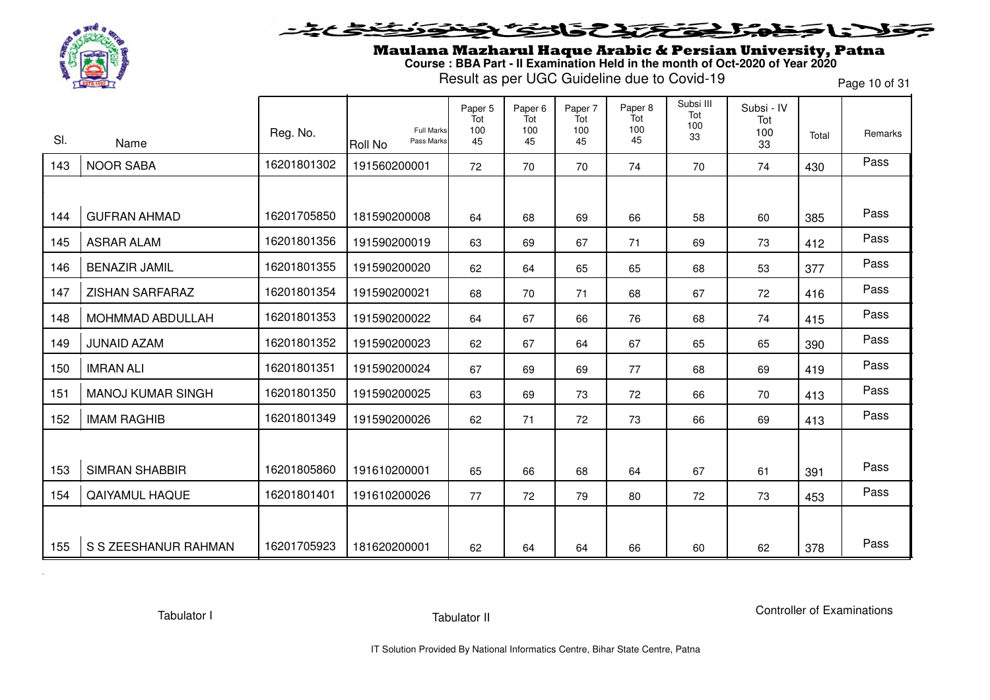

Maulana Mazharul Haque Arabic & Persian University, Patna **Course : BBA Part - II Examination Held in the month of Oct-2020 of Year 2020**

Result as per UGC Guideline due to Covid-19

Page 10 of 31

|     |                          |             |                                                   | Paper 5<br>Tot | Paper <sub>6</sub><br>Tot | Paper 7<br>Tot | Paper 8<br>Tot | Subsi III<br>Tot | Subsi - IV<br>Tot |       |         |
|-----|--------------------------|-------------|---------------------------------------------------|----------------|---------------------------|----------------|----------------|------------------|-------------------|-------|---------|
| SI. | Name                     | Reg. No.    | <b>Full Marks</b><br>Pass Marks<br><b>Roll No</b> | 100<br>45      | 100<br>45                 | 100<br>45      | 100<br>45      | 100<br>33        | 100<br>33         | Total | Remarks |
| 143 | <b>NOOR SABA</b>         | 16201801302 | 191560200001                                      | 72             | 70                        | 70             | 74             | 70               | 74                | 430   | Pass    |
|     |                          |             |                                                   |                |                           |                |                |                  |                   |       |         |
| 144 | <b>GUFRAN AHMAD</b>      | 16201705850 | 181590200008                                      | 64             | 68                        | 69             | 66             | 58               | 60                | 385   | Pass    |
| 145 | <b>ASRAR ALAM</b>        | 16201801356 | 191590200019                                      | 63             | 69                        | 67             | 71             | 69               | 73                | 412   | Pass    |
| 146 | <b>BENAZIR JAMIL</b>     | 16201801355 | 191590200020                                      | 62             | 64                        | 65             | 65             | 68               | 53                | 377   | Pass    |
| 147 | ZISHAN SARFARAZ          | 16201801354 | 191590200021                                      | 68             | 70                        | 71             | 68             | 67               | 72                | 416   | Pass    |
| 148 | MOHMMAD ABDULLAH         | 16201801353 | 191590200022                                      | 64             | 67                        | 66             | 76             | 68               | 74                | 415   | Pass    |
| 149 | <b>JUNAID AZAM</b>       | 16201801352 | 191590200023                                      | 62             | 67                        | 64             | 67             | 65               | 65                | 390   | Pass    |
| 150 | <b>IMRAN ALI</b>         | 16201801351 | 191590200024                                      | 67             | 69                        | 69             | 77             | 68               | 69                | 419   | Pass    |
| 151 | <b>MANOJ KUMAR SINGH</b> | 16201801350 | 191590200025                                      | 63             | 69                        | 73             | 72             | 66               | 70                | 413   | Pass    |
| 152 | <b>IMAM RAGHIB</b>       | 16201801349 | 191590200026                                      | 62             | 71                        | 72             | 73             | 66               | 69                | 413   | Pass    |
|     |                          |             |                                                   |                |                           |                |                |                  |                   |       |         |
| 153 | <b>SIMRAN SHABBIR</b>    | 16201805860 | 191610200001                                      | 65             | 66                        | 68             | 64             | 67               | 61                | 391   | Pass    |
| 154 | QAIYAMUL HAQUE           | 16201801401 | 191610200026                                      | 77             | 72                        | 79             | 80             | 72               | 73                | 453   | Pass    |
|     |                          |             |                                                   |                |                           |                |                |                  |                   |       |         |
| 155 | S S ZEESHANUR RAHMAN     | 16201705923 | 181620200001                                      | 62             | 64                        | 64             | 66             | 60               | 62                | 378   | Pass    |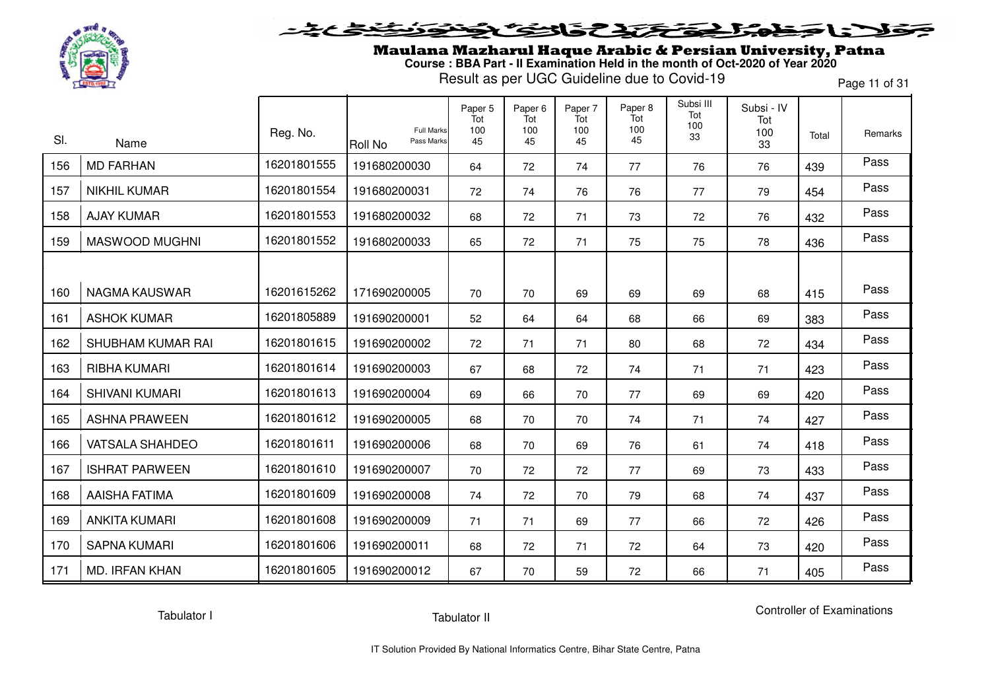

Maulana Mazharul Haque Arabic & Persian University, Patna **Course : BBA Part - II Examination Held in the month of Oct-2020 of Year 2020**

Result as per UGC Guideline due to Covid-19

Page 11 of 31

|     |                        | Reg. No.    | <b>Full Marks</b>            | Paper 5<br>Tot<br>100 | Paper <sub>6</sub><br>Tot<br>100 | Paper 7<br>Tot<br>100 | Paper 8<br>Tot<br>100 | Subsi III<br>Tot<br>100 | Subsi - IV<br>Tot<br>100 |       | Remarks |
|-----|------------------------|-------------|------------------------------|-----------------------|----------------------------------|-----------------------|-----------------------|-------------------------|--------------------------|-------|---------|
| SI. | Name                   |             | Pass Marks<br><b>Roll No</b> | 45                    | 45                               | 45                    | 45                    | 33                      | 33                       | Total |         |
| 156 | <b>MD FARHAN</b>       | 16201801555 | 191680200030                 | 64                    | 72                               | 74                    | 77                    | 76                      | 76                       | 439   | Pass    |
| 157 | <b>NIKHIL KUMAR</b>    | 16201801554 | 191680200031                 | 72                    | 74                               | 76                    | 76                    | 77                      | 79                       | 454   | Pass    |
| 158 | <b>AJAY KUMAR</b>      | 16201801553 | 191680200032                 | 68                    | 72                               | 71                    | 73                    | 72                      | 76                       | 432   | Pass    |
| 159 | MASWOOD MUGHNI         | 16201801552 | 191680200033                 | 65                    | 72                               | 71                    | 75                    | 75                      | 78                       | 436   | Pass    |
|     |                        |             |                              |                       |                                  |                       |                       |                         |                          |       |         |
| 160 | <b>NAGMA KAUSWAR</b>   | 16201615262 | 171690200005                 | 70                    | 70                               | 69                    | 69                    | 69                      | 68                       | 415   | Pass    |
| 161 | <b>ASHOK KUMAR</b>     | 16201805889 | 191690200001                 | 52                    | 64                               | 64                    | 68                    | 66                      | 69                       | 383   | Pass    |
| 162 | SHUBHAM KUMAR RAI      | 16201801615 | 191690200002                 | 72                    | 71                               | 71                    | 80                    | 68                      | 72                       | 434   | Pass    |
| 163 | <b>RIBHA KUMARI</b>    | 16201801614 | 191690200003                 | 67                    | 68                               | 72                    | 74                    | 71                      | 71                       | 423   | Pass    |
| 164 | SHIVANI KUMARI         | 16201801613 | 191690200004                 | 69                    | 66                               | 70                    | 77                    | 69                      | 69                       | 420   | Pass    |
| 165 | <b>ASHNA PRAWEEN</b>   | 16201801612 | 191690200005                 | 68                    | 70                               | 70                    | 74                    | 71                      | 74                       | 427   | Pass    |
| 166 | <b>VATSALA SHAHDEO</b> | 16201801611 | 191690200006                 | 68                    | 70                               | 69                    | 76                    | 61                      | 74                       | 418   | Pass    |
| 167 | <b>ISHRAT PARWEEN</b>  | 16201801610 | 191690200007                 | 70                    | 72                               | 72                    | 77                    | 69                      | 73                       | 433   | Pass    |
| 168 | <b>AAISHA FATIMA</b>   | 16201801609 | 191690200008                 | 74                    | 72                               | 70                    | 79                    | 68                      | 74                       | 437   | Pass    |
| 169 | <b>ANKITA KUMARI</b>   | 16201801608 | 191690200009                 | 71                    | 71                               | 69                    | 77                    | 66                      | 72                       | 426   | Pass    |
| 170 | <b>SAPNA KUMARI</b>    | 16201801606 | 191690200011                 | 68                    | 72                               | 71                    | 72                    | 64                      | 73                       | 420   | Pass    |
| 171 | <b>MD. IRFAN KHAN</b>  | 16201801605 | 191690200012                 | 67                    | 70                               | 59                    | 72                    | 66                      | 71                       | 405   | Pass    |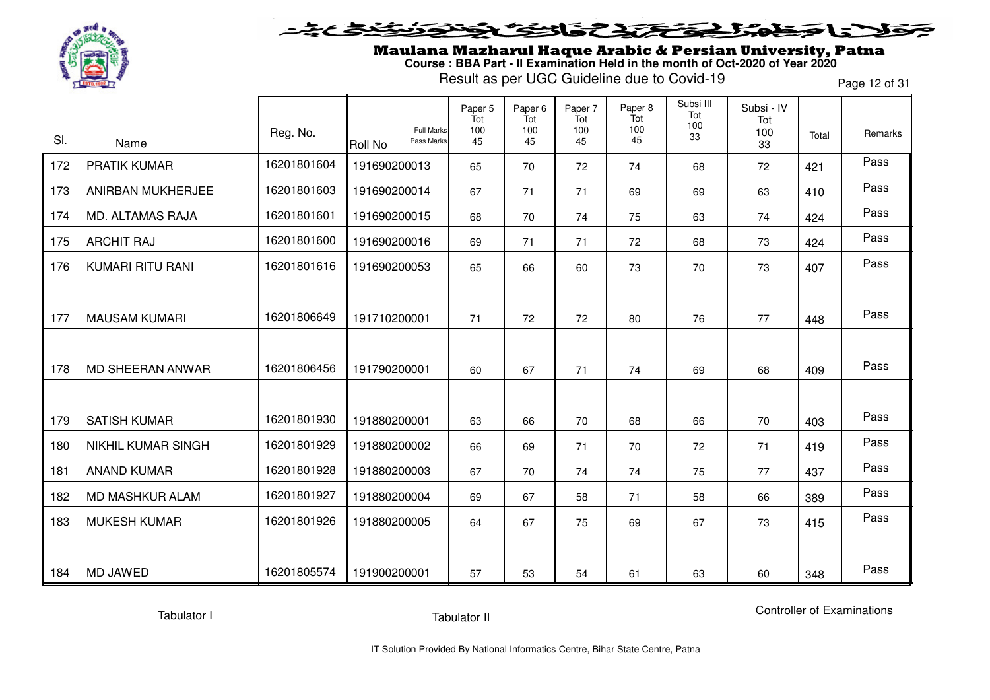

### **SENSCAP** l = T  $\rightarrow$

Maulana Mazharul Haque Arabic & Persian University, Patna **Course : BBA Part - II Examination Held in the month of Oct-2020 of Year 2020**

Result as per UGC Guideline due to Covid-19

Page 12 of 31

| SI. | Name                      | Reg. No.    | <b>Full Marks</b><br>Pass Marks<br><b>Roll No</b> | Paper 5<br>Tot<br>100<br>45 | Paper 6<br>Tot<br>100<br>45 | Paper 7<br>Tot<br>100<br>45 | Paper 8<br>Tot<br>100<br>45 | Subsi III<br>Tot<br>100<br>33 | Subsi - IV<br>Tot<br>100<br>33 | Total | Remarks |
|-----|---------------------------|-------------|---------------------------------------------------|-----------------------------|-----------------------------|-----------------------------|-----------------------------|-------------------------------|--------------------------------|-------|---------|
| 172 | <b>PRATIK KUMAR</b>       | 16201801604 | 191690200013                                      | 65                          | 70                          | 72                          | 74                          | 68                            | 72                             | 421   | Pass    |
| 173 | ANIRBAN MUKHERJEE         | 16201801603 | 191690200014                                      | 67                          | 71                          | 71                          | 69                          | 69                            | 63                             | 410   | Pass    |
| 174 | <b>MD. ALTAMAS RAJA</b>   | 16201801601 | 191690200015                                      | 68                          | 70                          | 74                          | 75                          | 63                            | 74                             | 424   | Pass    |
| 175 | <b>ARCHIT RAJ</b>         | 16201801600 | 191690200016                                      | 69                          | 71                          | 71                          | 72                          | 68                            | 73                             | 424   | Pass    |
| 176 | <b>KUMARI RITU RANI</b>   | 16201801616 | 191690200053                                      | 65                          | 66                          | 60                          | 73                          | 70                            | 73                             | 407   | Pass    |
|     |                           |             |                                                   |                             |                             |                             |                             |                               |                                |       |         |
| 177 | <b>MAUSAM KUMARI</b>      | 16201806649 | 191710200001                                      | 71                          | 72                          | 72                          | 80                          | 76                            | 77                             | 448   | Pass    |
|     |                           |             |                                                   |                             |                             |                             |                             |                               |                                |       |         |
| 178 | <b>MD SHEERAN ANWAR</b>   | 16201806456 | 191790200001                                      | 60                          | 67                          | 71                          | 74                          | 69                            | 68                             | 409   | Pass    |
|     |                           |             |                                                   |                             |                             |                             |                             |                               |                                |       |         |
| 179 | <b>SATISH KUMAR</b>       | 16201801930 | 191880200001                                      | 63                          | 66                          | 70                          | 68                          | 66                            | 70                             | 403   | Pass    |
| 180 | <b>NIKHIL KUMAR SINGH</b> | 16201801929 | 191880200002                                      | 66                          | 69                          | 71                          | 70                          | 72                            | 71                             | 419   | Pass    |
| 181 | <b>ANAND KUMAR</b>        | 16201801928 | 191880200003                                      | 67                          | 70                          | 74                          | 74                          | 75                            | 77                             | 437   | Pass    |
| 182 | MD MASHKUR ALAM           | 16201801927 | 191880200004                                      | 69                          | 67                          | 58                          | 71                          | 58                            | 66                             | 389   | Pass    |
| 183 | <b>MUKESH KUMAR</b>       | 16201801926 | 191880200005                                      | 64                          | 67                          | 75                          | 69                          | 67                            | 73                             | 415   | Pass    |
|     |                           |             |                                                   |                             |                             |                             |                             |                               |                                |       |         |
| 184 | MD JAWED                  | 16201805574 | 191900200001                                      | 57                          | 53                          | 54                          | 61                          | 63                            | 60                             | 348   | Pass    |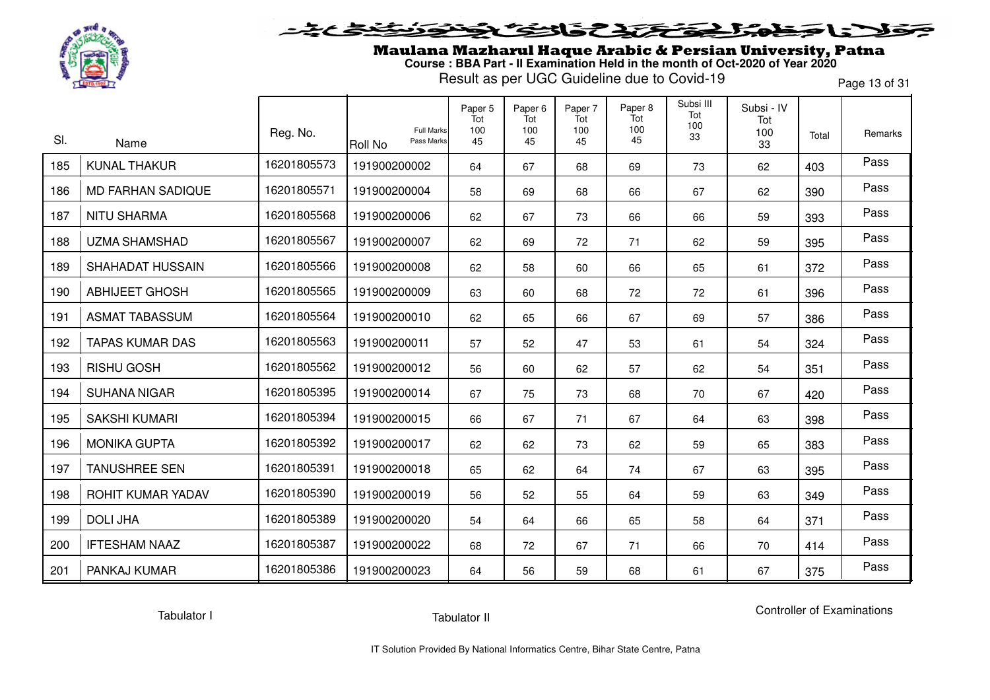

#### **SENSTATE** l = T 73  $\rightarrow$

Maulana Mazharul Haque Arabic & Persian University, Patna **Course : BBA Part - II Examination Held in the month of Oct-2020 of Year 2020**

Result as per UGC Guideline due to Covid-19

Page 13 of 31

| SI. | Name                     | Reg. No.    | <b>Full Marks</b><br>Pass Marks<br>Roll No | Paper 5<br>Tot<br>100<br>45 | Paper <sub>6</sub><br>Tot<br>100<br>45 | Paper 7<br>Tot<br>100<br>45 | Paper 8<br>Tot<br>100<br>45 | Subsi III<br>Tot<br>100<br>33 | Subsi - IV<br>Tot<br>100<br>33 | Total | Remarks |
|-----|--------------------------|-------------|--------------------------------------------|-----------------------------|----------------------------------------|-----------------------------|-----------------------------|-------------------------------|--------------------------------|-------|---------|
| 185 | <b>KUNAL THAKUR</b>      | 16201805573 | 191900200002                               | 64                          | 67                                     | 68                          | 69                          | 73                            | 62                             | 403   | Pass    |
| 186 | <b>MD FARHAN SADIQUE</b> | 16201805571 | 191900200004                               | 58                          | 69                                     | 68                          | 66                          | 67                            | 62                             | 390   | Pass    |
| 187 | <b>NITU SHARMA</b>       | 16201805568 | 191900200006                               | 62                          | 67                                     | 73                          | 66                          | 66                            | 59                             | 393   | Pass    |
| 188 | <b>UZMA SHAMSHAD</b>     | 16201805567 | 191900200007                               | 62                          | 69                                     | 72                          | 71                          | 62                            | 59                             | 395   | Pass    |
| 189 | <b>SHAHADAT HUSSAIN</b>  | 16201805566 | 191900200008                               | 62                          | 58                                     | 60                          | 66                          | 65                            | 61                             | 372   | Pass    |
| 190 | <b>ABHIJEET GHOSH</b>    | 16201805565 | 191900200009                               | 63                          | 60                                     | 68                          | 72                          | 72                            | 61                             | 396   | Pass    |
| 191 | <b>ASMAT TABASSUM</b>    | 16201805564 | 191900200010                               | 62                          | 65                                     | 66                          | 67                          | 69                            | 57                             | 386   | Pass    |
| 192 | <b>TAPAS KUMAR DAS</b>   | 16201805563 | 191900200011                               | 57                          | 52                                     | 47                          | 53                          | 61                            | 54                             | 324   | Pass    |
| 193 | <b>RISHU GOSH</b>        | 16201805562 | 191900200012                               | 56                          | 60                                     | 62                          | 57                          | 62                            | 54                             | 351   | Pass    |
| 194 | <b>SUHANA NIGAR</b>      | 16201805395 | 191900200014                               | 67                          | 75                                     | 73                          | 68                          | 70                            | 67                             | 420   | Pass    |
| 195 | <b>SAKSHI KUMARI</b>     | 16201805394 | 191900200015                               | 66                          | 67                                     | 71                          | 67                          | 64                            | 63                             | 398   | Pass    |
| 196 | <b>MONIKA GUPTA</b>      | 16201805392 | 191900200017                               | 62                          | 62                                     | 73                          | 62                          | 59                            | 65                             | 383   | Pass    |
| 197 | <b>TANUSHREE SEN</b>     | 16201805391 | 191900200018                               | 65                          | 62                                     | 64                          | 74                          | 67                            | 63                             | 395   | Pass    |
| 198 | ROHIT KUMAR YADAV        | 16201805390 | 191900200019                               | 56                          | 52                                     | 55                          | 64                          | 59                            | 63                             | 349   | Pass    |
| 199 | <b>DOLI JHA</b>          | 16201805389 | 191900200020                               | 54                          | 64                                     | 66                          | 65                          | 58                            | 64                             | 371   | Pass    |
| 200 | <b>IFTESHAM NAAZ</b>     | 16201805387 | 191900200022                               | 68                          | 72                                     | 67                          | 71                          | 66                            | 70                             | 414   | Pass    |
| 201 | PANKAJ KUMAR             | 16201805386 | 191900200023                               | 64                          | 56                                     | 59                          | 68                          | 61                            | 67                             | 375   | Pass    |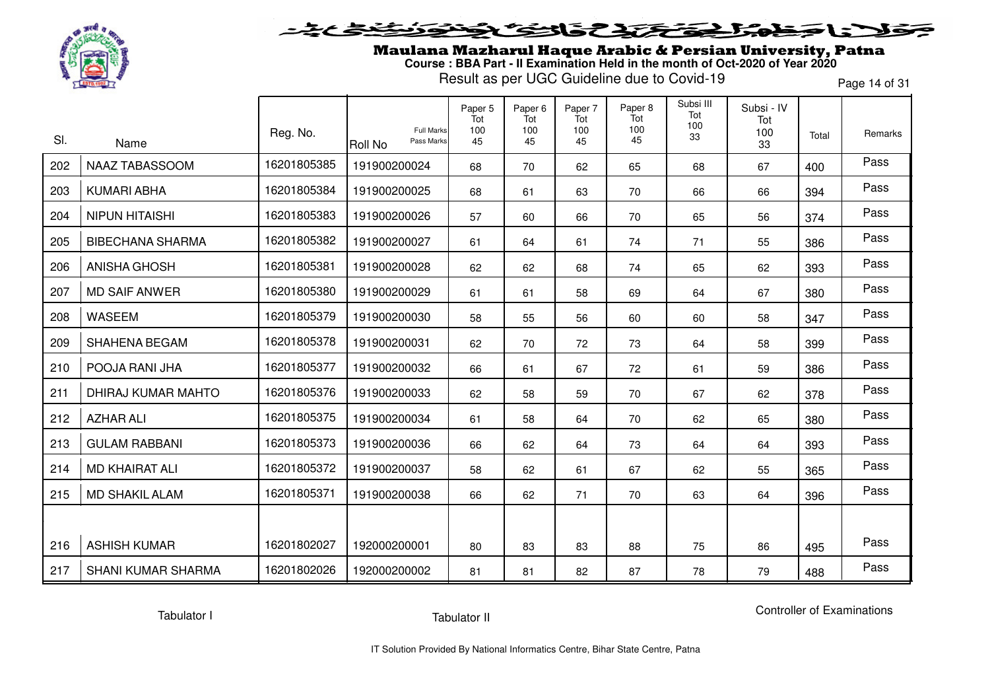

## 536237  $\sim$   $\sim$

Maulana Mazharul Haque Arabic & Persian University, Patna **Course : BBA Part - II Examination Held in the month of Oct-2020 of Year 2020**

Result as per UGC Guideline due to Covid-19

Page 14 of 31

|     |                           |             | <b>Full Marks</b>            | Paper 5<br>Tot<br>100 | Paper <sub>6</sub><br>Tot<br>100 | Paper 7<br>Tot<br>100 | Paper 8<br>Tot<br>100 | Subsi III<br>Tot<br>100 | Subsi - IV<br>Tot |       |         |
|-----|---------------------------|-------------|------------------------------|-----------------------|----------------------------------|-----------------------|-----------------------|-------------------------|-------------------|-------|---------|
| SI. | Name                      | Reg. No.    | Pass Marks<br><b>Roll No</b> | 45                    | 45                               | 45                    | 45                    | 33                      | 100<br>33         | Total | Remarks |
| 202 | NAAZ TABASSOOM            | 16201805385 | 191900200024                 | 68                    | 70                               | 62                    | 65                    | 68                      | 67                | 400   | Pass    |
| 203 | <b>KUMARI ABHA</b>        | 16201805384 | 191900200025                 | 68                    | 61                               | 63                    | 70                    | 66                      | 66                | 394   | Pass    |
| 204 | <b>NIPUN HITAISHI</b>     | 16201805383 | 191900200026                 | 57                    | 60                               | 66                    | 70                    | 65                      | 56                | 374   | Pass    |
| 205 | <b>BIBECHANA SHARMA</b>   | 16201805382 | 191900200027                 | 61                    | 64                               | 61                    | 74                    | 71                      | 55                | 386   | Pass    |
| 206 | <b>ANISHA GHOSH</b>       | 16201805381 | 191900200028                 | 62                    | 62                               | 68                    | 74                    | 65                      | 62                | 393   | Pass    |
| 207 | <b>MD SAIF ANWER</b>      | 16201805380 | 191900200029                 | 61                    | 61                               | 58                    | 69                    | 64                      | 67                | 380   | Pass    |
| 208 | <b>WASEEM</b>             | 16201805379 | 191900200030                 | 58                    | 55                               | 56                    | 60                    | 60                      | 58                | 347   | Pass    |
| 209 | <b>SHAHENA BEGAM</b>      | 16201805378 | 191900200031                 | 62                    | 70                               | 72                    | 73                    | 64                      | 58                | 399   | Pass    |
| 210 | POOJA RANI JHA            | 16201805377 | 191900200032                 | 66                    | 61                               | 67                    | 72                    | 61                      | 59                | 386   | Pass    |
| 211 | <b>DHIRAJ KUMAR MAHTO</b> | 16201805376 | 191900200033                 | 62                    | 58                               | 59                    | 70                    | 67                      | 62                | 378   | Pass    |
| 212 | <b>AZHAR ALI</b>          | 16201805375 | 191900200034                 | 61                    | 58                               | 64                    | 70                    | 62                      | 65                | 380   | Pass    |
| 213 | <b>GULAM RABBANI</b>      | 16201805373 | 191900200036                 | 66                    | 62                               | 64                    | 73                    | 64                      | 64                | 393   | Pass    |
| 214 | <b>MD KHAIRAT ALI</b>     | 16201805372 | 191900200037                 | 58                    | 62                               | 61                    | 67                    | 62                      | 55                | 365   | Pass    |
| 215 | <b>MD SHAKIL ALAM</b>     | 16201805371 | 191900200038                 | 66                    | 62                               | 71                    | 70                    | 63                      | 64                | 396   | Pass    |
|     |                           |             |                              |                       |                                  |                       |                       |                         |                   |       |         |
| 216 | <b>ASHISH KUMAR</b>       | 16201802027 | 192000200001                 | 80                    | 83                               | 83                    | 88                    | 75                      | 86                | 495   | Pass    |
| 217 | <b>SHANI KUMAR SHARMA</b> | 16201802026 | 192000200002                 | 81                    | 81                               | 82                    | 87                    | 78                      | 79                | 488   | Pass    |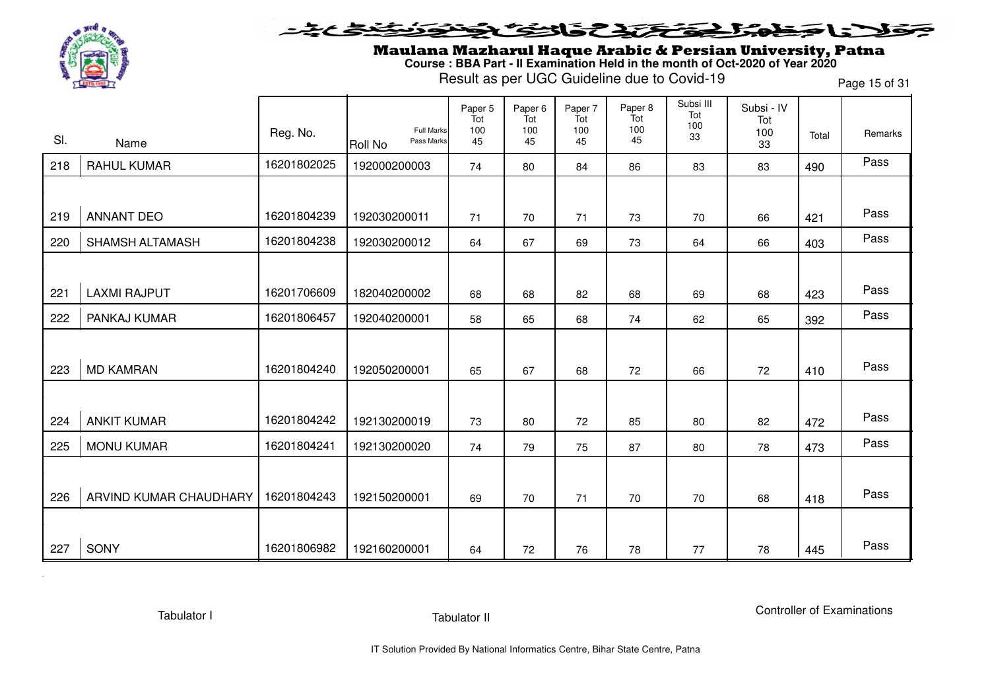

### **SENSE ATENERIES**  $\rightarrow$  120

Maulana Mazharul Haque Arabic & Persian University, Patna **Course : BBA Part - II Examination Held in the month of Oct-2020 of Year 2020**

Result as per UGC Guideline due to Covid-19

Page 15 of 31

|     |                        |             |                                     | Paper 5<br>Tot | Paper <sub>6</sub><br>Tot | Paper 7<br>Tot | Paper 8<br>Tot | Subsi III<br>Tot | Subsi - IV<br>Tot |       |         |
|-----|------------------------|-------------|-------------------------------------|----------------|---------------------------|----------------|----------------|------------------|-------------------|-------|---------|
| SI. | Name                   | Reg. No.    | Full Marks<br>Pass Marks<br>Roll No | 100<br>45      | 100<br>45                 | 100<br>45      | 100<br>45      | 100<br>33        | 100<br>33         | Total | Remarks |
| 218 | <b>RAHUL KUMAR</b>     | 16201802025 | 192000200003                        | 74             | 80                        | 84             | 86             | 83               | 83                | 490   | Pass    |
|     |                        |             |                                     |                |                           |                |                |                  |                   |       |         |
| 219 | <b>ANNANT DEO</b>      | 16201804239 | 192030200011                        | 71             | 70                        | 71             | 73             | 70               | 66                | 421   | Pass    |
| 220 | <b>SHAMSH ALTAMASH</b> | 16201804238 | 192030200012                        | 64             | 67                        | 69             | 73             | 64               | 66                | 403   | Pass    |
|     |                        |             |                                     |                |                           |                |                |                  |                   |       |         |
| 221 | <b>LAXMI RAJPUT</b>    | 16201706609 | 182040200002                        | 68             | 68                        | 82             | 68             | 69               | 68                | 423   | Pass    |
| 222 | PANKAJ KUMAR           | 16201806457 | 192040200001                        | 58             | 65                        | 68             | 74             | 62               | 65                | 392   | Pass    |
|     |                        |             |                                     |                |                           |                |                |                  |                   |       |         |
| 223 | <b>MD KAMRAN</b>       | 16201804240 | 192050200001                        | 65             | 67                        | 68             | 72             | 66               | 72                | 410   | Pass    |
|     |                        |             |                                     |                |                           |                |                |                  |                   |       |         |
| 224 | <b>ANKIT KUMAR</b>     | 16201804242 | 192130200019                        | 73             | 80                        | 72             | 85             | 80               | 82                | 472   | Pass    |
| 225 | <b>MONU KUMAR</b>      | 16201804241 | 192130200020                        | 74             | 79                        | 75             | 87             | 80               | 78                | 473   | Pass    |
|     |                        |             |                                     |                |                           |                |                |                  |                   |       |         |
| 226 | ARVIND KUMAR CHAUDHARY | 16201804243 | 192150200001                        | 69             | 70                        | 71             | 70             | 70               | 68                | 418   | Pass    |
|     |                        |             |                                     |                |                           |                |                |                  |                   |       |         |
| 227 | SONY                   | 16201806982 | 192160200001                        | 64             | 72                        | 76             | 78             | 77               | 78                | 445   | Pass    |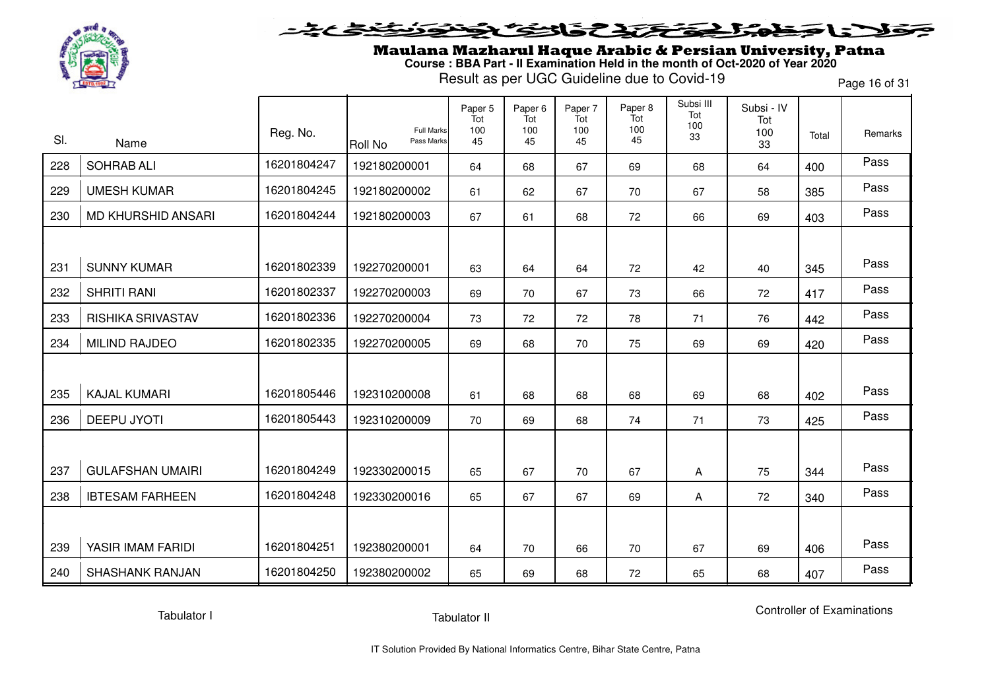

## 536237  $\sim$   $\sim$

Maulana Mazharul Haque Arabic & Persian University, Patna **Course : BBA Part - II Examination Held in the month of Oct-2020 of Year 2020**

Result as per UGC Guideline due to Covid-19

Page 16 of 31

| SI. | Name                     | Reg. No.    | <b>Full Marks</b><br>Pass Marks<br><b>Roll No</b> | Paper 5<br>Tot<br>100<br>45 | Paper <sub>6</sub><br>Tot<br>100<br>45 | Paper 7<br>Tot<br>100<br>45 | Paper 8<br>Tot<br>100<br>45 | Subsi III<br>Tot<br>100<br>33 | Subsi - IV<br>Tot<br>100<br>33 | Total | Remarks |
|-----|--------------------------|-------------|---------------------------------------------------|-----------------------------|----------------------------------------|-----------------------------|-----------------------------|-------------------------------|--------------------------------|-------|---------|
| 228 | <b>SOHRAB ALI</b>        | 16201804247 | 192180200001                                      | 64                          | 68                                     | 67                          | 69                          | 68                            | 64                             | 400   | Pass    |
| 229 | <b>UMESH KUMAR</b>       | 16201804245 | 192180200002                                      | 61                          | 62                                     | 67                          | 70                          | 67                            | 58                             | 385   | Pass    |
| 230 | MD KHURSHID ANSARI       | 16201804244 | 192180200003                                      | 67                          | 61                                     | 68                          | 72                          | 66                            | 69                             | 403   | Pass    |
|     |                          |             |                                                   |                             |                                        |                             |                             |                               |                                |       |         |
| 231 | <b>SUNNY KUMAR</b>       | 16201802339 | 192270200001                                      | 63                          | 64                                     | 64                          | 72                          | 42                            | 40                             | 345   | Pass    |
| 232 | <b>SHRITI RANI</b>       | 16201802337 | 192270200003                                      | 69                          | 70                                     | 67                          | 73                          | 66                            | 72                             | 417   | Pass    |
| 233 | <b>RISHIKA SRIVASTAV</b> | 16201802336 | 192270200004                                      | 73                          | 72                                     | 72                          | 78                          | 71                            | 76                             | 442   | Pass    |
| 234 | <b>MILIND RAJDEO</b>     | 16201802335 | 192270200005                                      | 69                          | 68                                     | 70                          | 75                          | 69                            | 69                             | 420   | Pass    |
|     |                          |             |                                                   |                             |                                        |                             |                             |                               |                                |       |         |
| 235 | <b>KAJAL KUMARI</b>      | 16201805446 | 192310200008                                      | 61                          | 68                                     | 68                          | 68                          | 69                            | 68                             | 402   | Pass    |
| 236 | <b>DEEPU JYOTI</b>       | 16201805443 | 192310200009                                      | 70                          | 69                                     | 68                          | 74                          | 71                            | 73                             | 425   | Pass    |
|     |                          |             |                                                   |                             |                                        |                             |                             |                               |                                |       |         |
| 237 | <b>GULAFSHAN UMAIRI</b>  | 16201804249 | 192330200015                                      | 65                          | 67                                     | 70                          | 67                          | Α                             | 75                             | 344   | Pass    |
| 238 | <b>IBTESAM FARHEEN</b>   | 16201804248 | 192330200016                                      | 65                          | 67                                     | 67                          | 69                          | Α                             | 72                             | 340   | Pass    |
|     |                          |             |                                                   |                             |                                        |                             |                             |                               |                                |       |         |
| 239 | YASIR IMAM FARIDI        | 16201804251 | 192380200001                                      | 64                          | 70                                     | 66                          | 70                          | 67                            | 69                             | 406   | Pass    |
| 240 | <b>SHASHANK RANJAN</b>   | 16201804250 | 192380200002                                      | 65                          | 69                                     | 68                          | 72                          | 65                            | 68                             | 407   | Pass    |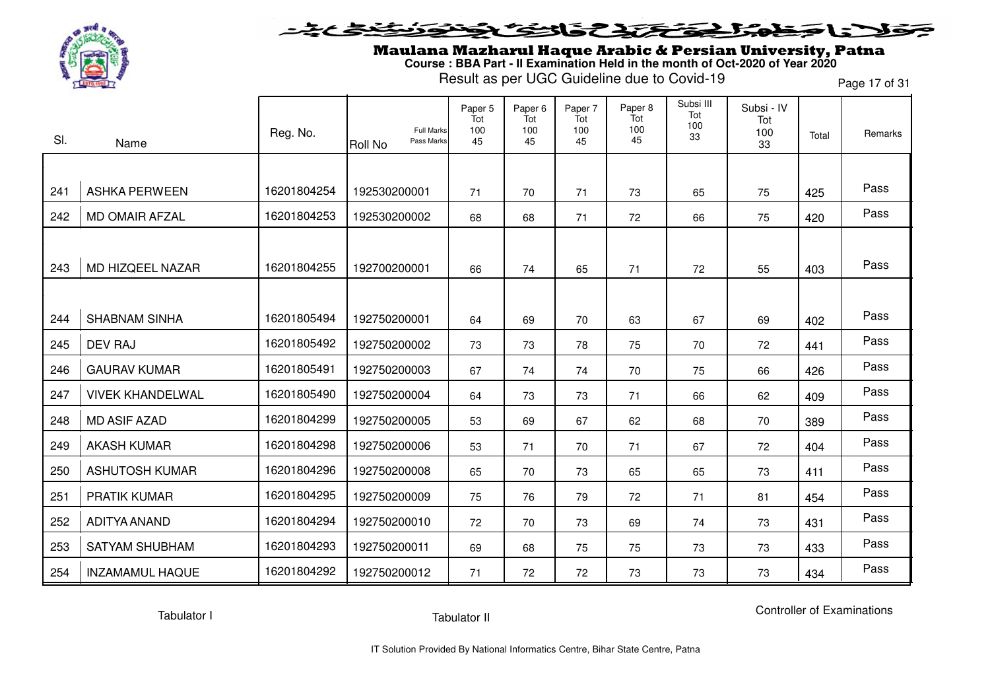

#### **SENSTRES**  $\blacktriangleright$ l = "

Maulana Mazharul Haque Arabic & Persian University, Patna **Course : BBA Part - II Examination Held in the month of Oct-2020 of Year 2020**

Result as per UGC Guideline due to Covid-19

Page 17 of 31

| SI. | Name                    | Reg. No.    | <b>Full Marks</b><br>Pass Marks<br><b>Roll No</b> | Paper 5<br>Tot<br>100<br>45 | Paper <sub>6</sub><br>Tot<br>100<br>45 | Paper 7<br>Tot<br>100<br>45 | Paper 8<br>Tot<br>100<br>45 | Subsi III<br>Tot<br>100<br>33 | Subsi - IV<br>Tot<br>100<br>33 | Total | Remarks |
|-----|-------------------------|-------------|---------------------------------------------------|-----------------------------|----------------------------------------|-----------------------------|-----------------------------|-------------------------------|--------------------------------|-------|---------|
|     |                         |             |                                                   |                             |                                        |                             |                             |                               |                                |       |         |
| 241 | <b>ASHKA PERWEEN</b>    | 16201804254 | 192530200001                                      | 71                          | 70                                     | 71                          | 73                          | 65                            | 75                             | 425   | Pass    |
| 242 | <b>MD OMAIR AFZAL</b>   | 16201804253 | 192530200002                                      | 68                          | 68                                     | 71                          | 72                          | 66                            | 75                             | 420   | Pass    |
|     |                         |             |                                                   |                             |                                        |                             |                             |                               |                                |       |         |
| 243 | MD HIZQEEL NAZAR        | 16201804255 | 192700200001                                      | 66                          | 74                                     | 65                          | 71                          | 72                            | 55                             | 403   | Pass    |
|     |                         |             |                                                   |                             |                                        |                             |                             |                               |                                |       |         |
| 244 | <b>SHABNAM SINHA</b>    | 16201805494 | 192750200001                                      | 64                          | 69                                     | 70                          | 63                          | 67                            | 69                             | 402   | Pass    |
| 245 | <b>DEV RAJ</b>          | 16201805492 | 192750200002                                      | 73                          | 73                                     | 78                          | 75                          | 70                            | 72                             | 441   | Pass    |
| 246 | <b>GAURAV KUMAR</b>     | 16201805491 | 192750200003                                      | 67                          | 74                                     | 74                          | 70                          | 75                            | 66                             | 426   | Pass    |
| 247 | <b>VIVEK KHANDELWAL</b> | 16201805490 | 192750200004                                      | 64                          | 73                                     | 73                          | 71                          | 66                            | 62                             | 409   | Pass    |
| 248 | <b>MD ASIF AZAD</b>     | 16201804299 | 192750200005                                      | 53                          | 69                                     | 67                          | 62                          | 68                            | 70                             | 389   | Pass    |
| 249 | <b>AKASH KUMAR</b>      | 16201804298 | 192750200006                                      | 53                          | 71                                     | 70                          | 71                          | 67                            | 72                             | 404   | Pass    |
| 250 | <b>ASHUTOSH KUMAR</b>   | 16201804296 | 192750200008                                      | 65                          | 70                                     | 73                          | 65                          | 65                            | 73                             | 411   | Pass    |
| 251 | <b>PRATIK KUMAR</b>     | 16201804295 | 192750200009                                      | 75                          | 76                                     | 79                          | 72                          | 71                            | 81                             | 454   | Pass    |
| 252 | ADITYA ANAND            | 16201804294 | 192750200010                                      | 72                          | 70                                     | 73                          | 69                          | 74                            | 73                             | 431   | Pass    |
| 253 | <b>SATYAM SHUBHAM</b>   | 16201804293 | 192750200011                                      | 69                          | 68                                     | 75                          | 75                          | 73                            | 73                             | 433   | Pass    |
| 254 | <b>INZAMAMUL HAQUE</b>  | 16201804292 | 192750200012                                      | 71                          | 72                                     | 72                          | 73                          | 73                            | 73                             | 434   | Pass    |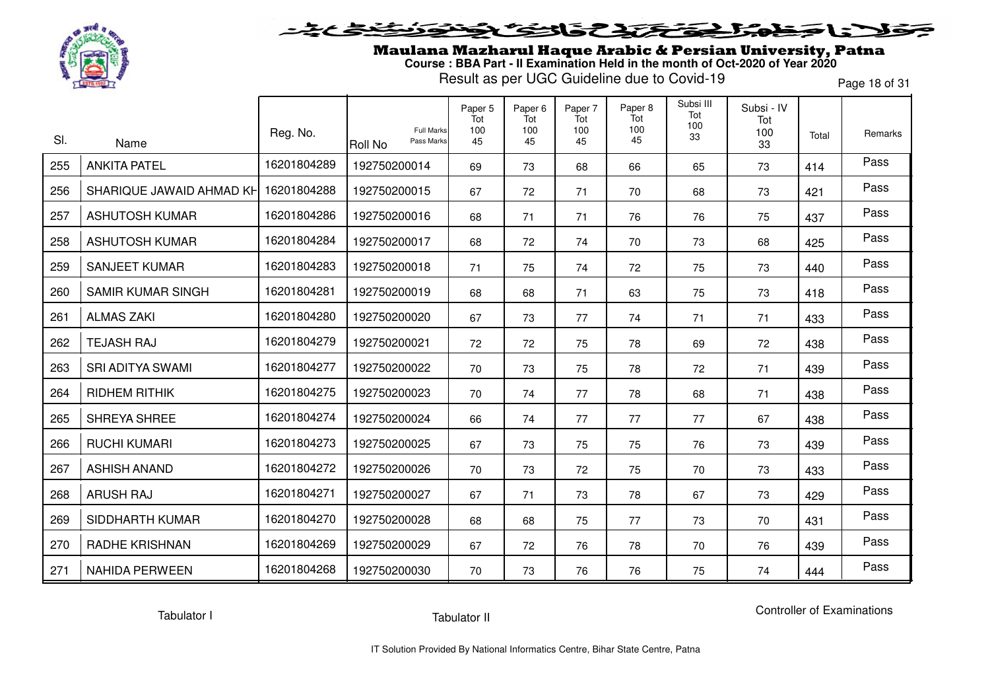

## 5315737 LE E

Maulana Mazharul Haque Arabic & Persian University, Patna **Course : BBA Part - II Examination Held in the month of Oct-2020 of Year 2020**

Result as per UGC Guideline due to Covid-19

Page 18 of 31

|     |                          | Reg. No.    | <b>Full Marks</b>     | Paper 5<br>Tot<br>100 | Paper <sub>6</sub><br>Tot<br>100 | Paper 7<br>Tot<br>100 | Paper 8<br>Tot<br>100 | Subsi III<br>Tot<br>100<br>33 | Subsi - IV<br>Tot<br>100 | Total | Remarks |
|-----|--------------------------|-------------|-----------------------|-----------------------|----------------------------------|-----------------------|-----------------------|-------------------------------|--------------------------|-------|---------|
| SI. | Name                     |             | Pass Marks<br>Roll No | 45                    | 45                               | 45                    | 45                    |                               | 33                       |       |         |
| 255 | <b>ANKITA PATEL</b>      | 16201804289 | 192750200014          | 69                    | 73                               | 68                    | 66                    | 65                            | 73                       | 414   | Pass    |
| 256 | SHARIQUE JAWAID AHMAD KH | 16201804288 | 192750200015          | 67                    | 72                               | 71                    | 70                    | 68                            | 73                       | 421   | Pass    |
| 257 | <b>ASHUTOSH KUMAR</b>    | 16201804286 | 192750200016          | 68                    | 71                               | 71                    | 76                    | 76                            | 75                       | 437   | Pass    |
| 258 | <b>ASHUTOSH KUMAR</b>    | 16201804284 | 192750200017          | 68                    | 72                               | 74                    | 70                    | 73                            | 68                       | 425   | Pass    |
| 259 | <b>SANJEET KUMAR</b>     | 16201804283 | 192750200018          | 71                    | 75                               | 74                    | 72                    | 75                            | 73                       | 440   | Pass    |
| 260 | <b>SAMIR KUMAR SINGH</b> | 16201804281 | 192750200019          | 68                    | 68                               | 71                    | 63                    | 75                            | 73                       | 418   | Pass    |
| 261 | <b>ALMAS ZAKI</b>        | 16201804280 | 192750200020          | 67                    | 73                               | 77                    | 74                    | 71                            | 71                       | 433   | Pass    |
| 262 | <b>TEJASH RAJ</b>        | 16201804279 | 192750200021          | 72                    | 72                               | 75                    | 78                    | 69                            | 72                       | 438   | Pass    |
| 263 | <b>SRI ADITYA SWAMI</b>  | 16201804277 | 192750200022          | 70                    | 73                               | 75                    | 78                    | 72                            | 71                       | 439   | Pass    |
| 264 | <b>RIDHEM RITHIK</b>     | 16201804275 | 192750200023          | 70                    | 74                               | 77                    | 78                    | 68                            | 71                       | 438   | Pass    |
| 265 | SHREYA SHREE             | 16201804274 | 192750200024          | 66                    | 74                               | 77                    | 77                    | 77                            | 67                       | 438   | Pass    |
| 266 | <b>RUCHI KUMARI</b>      | 16201804273 | 192750200025          | 67                    | 73                               | 75                    | 75                    | 76                            | 73                       | 439   | Pass    |
| 267 | <b>ASHISH ANAND</b>      | 16201804272 | 192750200026          | 70                    | 73                               | 72                    | 75                    | 70                            | 73                       | 433   | Pass    |
| 268 | <b>ARUSH RAJ</b>         | 16201804271 | 192750200027          | 67                    | 71                               | 73                    | 78                    | 67                            | 73                       | 429   | Pass    |
| 269 | SIDDHARTH KUMAR          | 16201804270 | 192750200028          | 68                    | 68                               | 75                    | 77                    | 73                            | 70                       | 431   | Pass    |
| 270 | <b>RADHE KRISHNAN</b>    | 16201804269 | 192750200029          | 67                    | 72                               | 76                    | 78                    | 70                            | 76                       | 439   | Pass    |
| 271 | <b>NAHIDA PERWEEN</b>    | 16201804268 | 192750200030          | 70                    | 73                               | 76                    | 76                    | 75                            | 74                       | 444   | Pass    |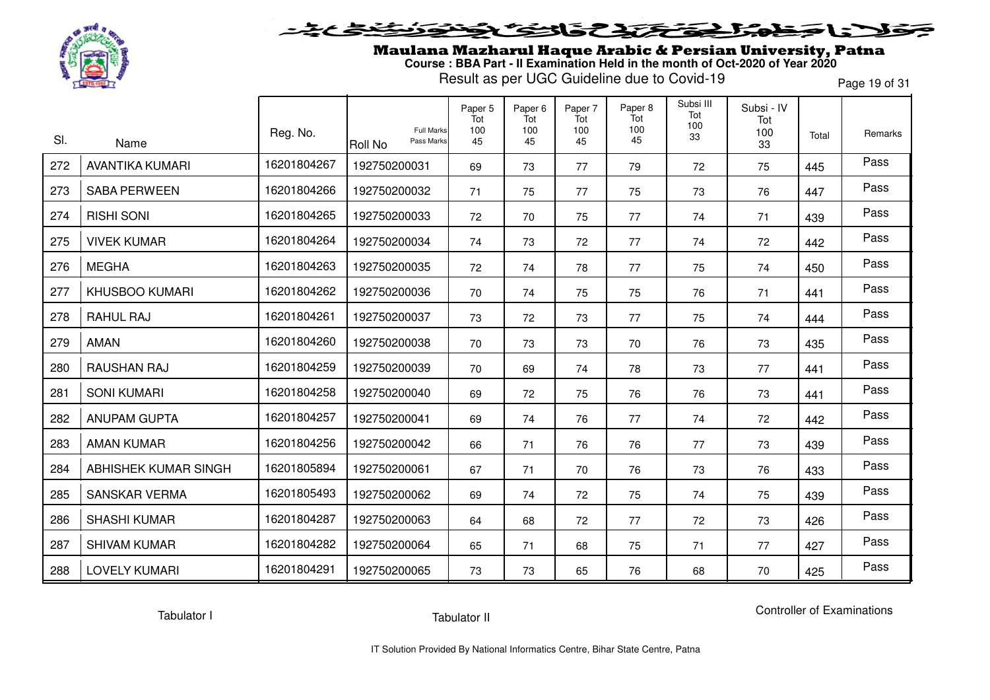

#### **SENSTATE** l = T 73  $\rightarrow$

Maulana Mazharul Haque Arabic & Persian University, Patna **Course : BBA Part - II Examination Held in the month of Oct-2020 of Year 2020**

Result as per UGC Guideline due to Covid-19

Page 19 of 31

| SI. | Name                   | Reg. No.    | <b>Full Marks</b><br>Pass Marks<br>Roll No | Paper 5<br>Tot<br>100<br>45 | Paper <sub>6</sub><br>Tot<br>100<br>45 | Paper 7<br>Tot<br>100<br>45 | Paper 8<br>Tot<br>100<br>45 | Subsi III<br>Tot<br>100<br>33 | Subsi - IV<br>Tot<br>100<br>33 | Total | Remarks |
|-----|------------------------|-------------|--------------------------------------------|-----------------------------|----------------------------------------|-----------------------------|-----------------------------|-------------------------------|--------------------------------|-------|---------|
| 272 | <b>AVANTIKA KUMARI</b> | 16201804267 | 192750200031                               | 69                          | 73                                     | 77                          | 79                          | 72                            | 75                             | 445   | Pass    |
| 273 | <b>SABA PERWEEN</b>    | 16201804266 | 192750200032                               | 71                          | 75                                     | 77                          | 75                          | 73                            | 76                             | 447   | Pass    |
| 274 | <b>RISHI SONI</b>      | 16201804265 | 192750200033                               | 72                          | 70                                     | 75                          | 77                          | 74                            | 71                             | 439   | Pass    |
| 275 | <b>VIVEK KUMAR</b>     | 16201804264 | 192750200034                               | 74                          | 73                                     | 72                          | 77                          | 74                            | 72                             | 442   | Pass    |
| 276 | <b>MEGHA</b>           | 16201804263 | 192750200035                               | 72                          | 74                                     | 78                          | 77                          | 75                            | 74                             | 450   | Pass    |
| 277 | <b>KHUSBOO KUMARI</b>  | 16201804262 | 192750200036                               | 70                          | 74                                     | 75                          | 75                          | 76                            | 71                             | 441   | Pass    |
| 278 | RAHUL RAJ              | 16201804261 | 192750200037                               | 73                          | 72                                     | 73                          | 77                          | 75                            | 74                             | 444   | Pass    |
| 279 | AMAN                   | 16201804260 | 192750200038                               | 70                          | 73                                     | 73                          | 70                          | 76                            | 73                             | 435   | Pass    |
| 280 | RAUSHAN RAJ            | 16201804259 | 192750200039                               | 70                          | 69                                     | 74                          | 78                          | 73                            | 77                             | 441   | Pass    |
| 281 | <b>SONI KUMARI</b>     | 16201804258 | 192750200040                               | 69                          | 72                                     | 75                          | 76                          | 76                            | 73                             | 441   | Pass    |
| 282 | <b>ANUPAM GUPTA</b>    | 16201804257 | 192750200041                               | 69                          | 74                                     | 76                          | 77                          | 74                            | 72                             | 442   | Pass    |
| 283 | <b>AMAN KUMAR</b>      | 16201804256 | 192750200042                               | 66                          | 71                                     | 76                          | 76                          | 77                            | 73                             | 439   | Pass    |
| 284 | ABHISHEK KUMAR SINGH   | 16201805894 | 192750200061                               | 67                          | 71                                     | 70                          | 76                          | 73                            | 76                             | 433   | Pass    |
| 285 | <b>SANSKAR VERMA</b>   | 16201805493 | 192750200062                               | 69                          | 74                                     | 72                          | 75                          | 74                            | 75                             | 439   | Pass    |
| 286 | <b>SHASHI KUMAR</b>    | 16201804287 | 192750200063                               | 64                          | 68                                     | 72                          | 77                          | 72                            | 73                             | 426   | Pass    |
| 287 | <b>SHIVAM KUMAR</b>    | 16201804282 | 192750200064                               | 65                          | 71                                     | 68                          | 75                          | 71                            | 77                             | 427   | Pass    |
| 288 | <b>LOVELY KUMARI</b>   | 16201804291 | 192750200065                               | 73                          | 73                                     | 65                          | 76                          | 68                            | 70                             | 425   | Pass    |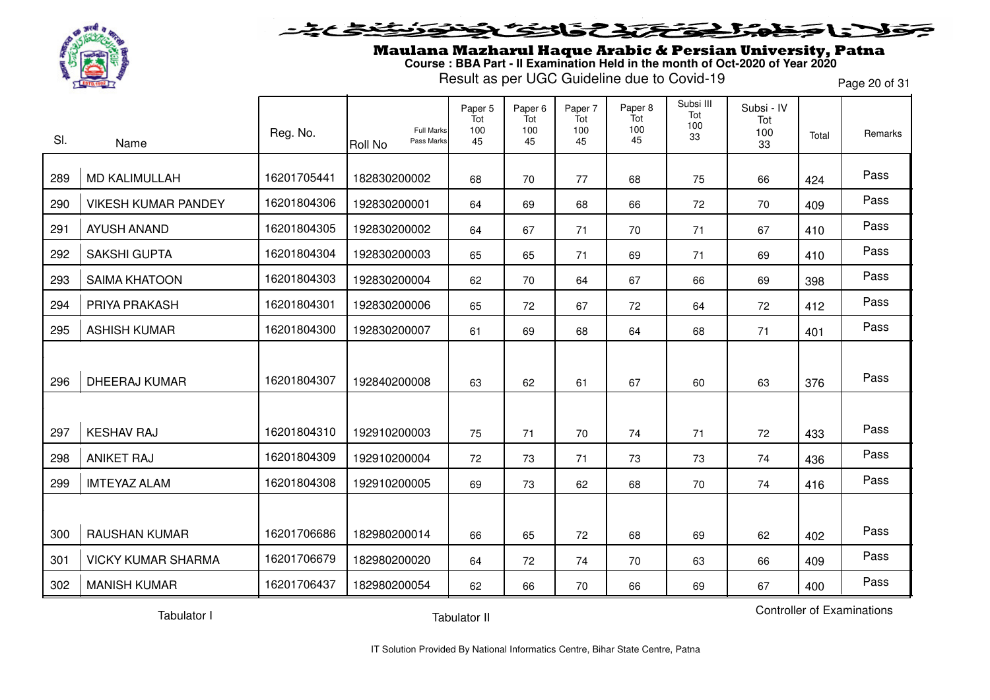

Maulana Mazharul Haque Arabic & Persian University, Patna **Course : BBA Part - II Examination Held in the month of Oct-2020 of Year 2020**

Result as per UGC Guideline due to Covid-19

Page 20 of 31

| SI. | Name                       | Reg. No.    | <b>Full Marks</b><br>Pass Marks<br><b>Roll No</b> | Paper 5<br>Tot<br>100<br>45 | Paper <sub>6</sub><br>Tot<br>100<br>45 | Paper 7<br>Tot<br>100<br>45 | Paper 8<br>Tot<br>100<br>45 | Subsi III<br>Tot<br>100<br>33 | Subsi - IV<br>Tot<br>100<br>33 | Total | Remarks |
|-----|----------------------------|-------------|---------------------------------------------------|-----------------------------|----------------------------------------|-----------------------------|-----------------------------|-------------------------------|--------------------------------|-------|---------|
| 289 | <b>MD KALIMULLAH</b>       | 16201705441 | 182830200002                                      | 68                          | 70                                     | 77                          | 68                          | 75                            | 66                             | 424   | Pass    |
| 290 | <b>VIKESH KUMAR PANDEY</b> | 16201804306 | 192830200001                                      | 64                          | 69                                     | 68                          | 66                          | 72                            | 70                             | 409   | Pass    |
| 291 | <b>AYUSH ANAND</b>         | 16201804305 | 192830200002                                      | 64                          | 67                                     | 71                          | 70                          | 71                            | 67                             | 410   | Pass    |
| 292 | <b>SAKSHI GUPTA</b>        | 16201804304 | 192830200003                                      | 65                          | 65                                     | 71                          | 69                          | 71                            | 69                             | 410   | Pass    |
| 293 | <b>SAIMA KHATOON</b>       | 16201804303 | 192830200004                                      | 62                          | 70                                     | 64                          | 67                          | 66                            | 69                             | 398   | Pass    |
| 294 | PRIYA PRAKASH              | 16201804301 | 192830200006                                      | 65                          | 72                                     | 67                          | 72                          | 64                            | 72                             | 412   | Pass    |
| 295 | <b>ASHISH KUMAR</b>        | 16201804300 | 192830200007                                      | 61                          | 69                                     | 68                          | 64                          | 68                            | 71                             | 401   | Pass    |
| 296 | <b>DHEERAJ KUMAR</b>       | 16201804307 | 192840200008                                      | 63                          | 62                                     | 61                          | 67                          | 60                            | 63                             | 376   | Pass    |
|     |                            |             |                                                   |                             |                                        |                             |                             |                               |                                |       |         |
| 297 | <b>KESHAV RAJ</b>          | 16201804310 | 192910200003                                      | 75                          | 71                                     | 70                          | 74                          | 71                            | 72                             | 433   | Pass    |
| 298 | <b>ANIKET RAJ</b>          | 16201804309 | 192910200004                                      | 72                          | 73                                     | 71                          | 73                          | 73                            | 74                             | 436   | Pass    |
| 299 | <b>IMTEYAZ ALAM</b>        | 16201804308 | 192910200005                                      | 69                          | 73                                     | 62                          | 68                          | 70                            | 74                             | 416   | Pass    |
|     |                            |             |                                                   |                             |                                        |                             |                             |                               |                                |       |         |
| 300 | <b>RAUSHAN KUMAR</b>       | 16201706686 | 182980200014                                      | 66                          | 65                                     | 72                          | 68                          | 69                            | 62                             | 402   | Pass    |
| 301 | <b>VICKY KUMAR SHARMA</b>  | 16201706679 | 182980200020                                      | 64                          | 72                                     | 74                          | 70                          | 63                            | 66                             | 409   | Pass    |
| 302 | <b>MANISH KUMAR</b>        | 16201706437 | 182980200054                                      | 62                          | 66                                     | 70                          | 66                          | 69                            | 67                             | 400   | Pass    |

Tabulator I

Controller of Examinations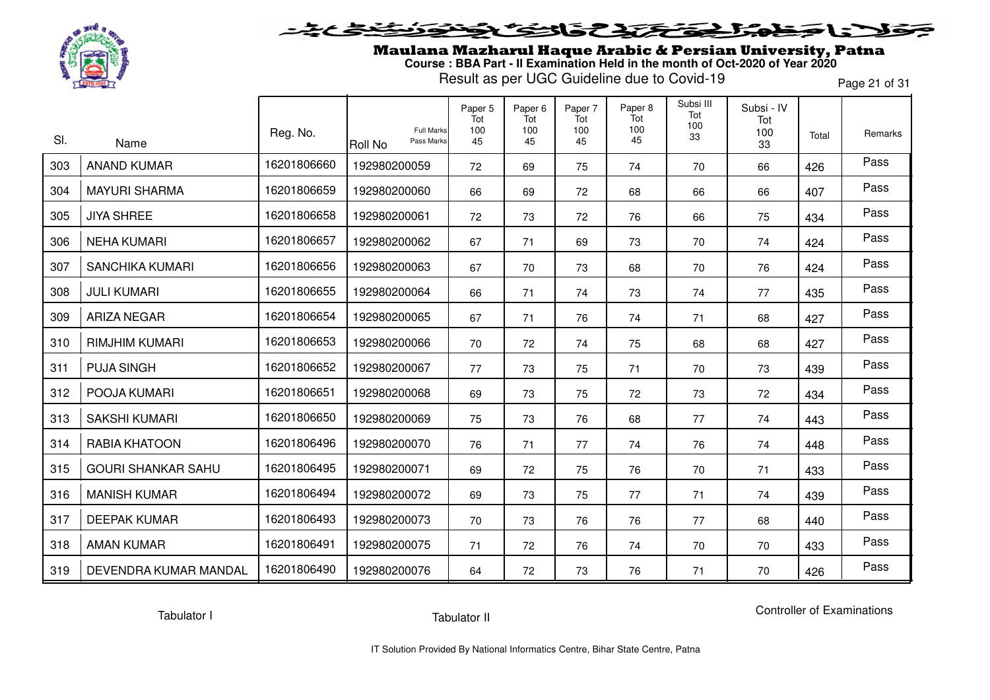

### **SENSCAPE** l = " Ð

Maulana Mazharul Haque Arabic & Persian University, Patna **Course : BBA Part - II Examination Held in the month of Oct-2020 of Year 2020**

Result as per UGC Guideline due to Covid-19

Page 21 of 31

| SI. | Name                      | Reg. No.    | <b>Full Marks</b><br>Pass Marks<br>Roll No | Paper 5<br>Tot<br>100<br>45 | Paper <sub>6</sub><br>Tot<br>100<br>45 | Paper 7<br>Tot<br>100<br>45 | Paper 8<br>Tot<br>100<br>45 | Subsi III<br>Tot<br>100<br>33 | Subsi - IV<br>Tot<br>100<br>33 | Total | Remarks |
|-----|---------------------------|-------------|--------------------------------------------|-----------------------------|----------------------------------------|-----------------------------|-----------------------------|-------------------------------|--------------------------------|-------|---------|
| 303 | <b>ANAND KUMAR</b>        | 16201806660 | 192980200059                               | 72                          | 69                                     | 75                          | 74                          | 70                            | 66                             | 426   | Pass    |
| 304 | <b>MAYURI SHARMA</b>      | 16201806659 | 192980200060                               | 66                          | 69                                     | 72                          | 68                          | 66                            | 66                             | 407   | Pass    |
| 305 | <b>JIYA SHREE</b>         | 16201806658 | 192980200061                               | 72                          | 73                                     | 72                          | 76                          | 66                            | 75                             | 434   | Pass    |
| 306 | <b>NEHA KUMARI</b>        | 16201806657 | 192980200062                               | 67                          | 71                                     | 69                          | 73                          | 70                            | 74                             | 424   | Pass    |
| 307 | <b>SANCHIKA KUMARI</b>    | 16201806656 | 192980200063                               | 67                          | 70                                     | 73                          | 68                          | 70                            | 76                             | 424   | Pass    |
| 308 | <b>JULI KUMARI</b>        | 16201806655 | 192980200064                               | 66                          | 71                                     | 74                          | 73                          | 74                            | 77                             | 435   | Pass    |
| 309 | <b>ARIZA NEGAR</b>        | 16201806654 | 192980200065                               | 67                          | 71                                     | 76                          | 74                          | 71                            | 68                             | 427   | Pass    |
| 310 | <b>RIMJHIM KUMARI</b>     | 16201806653 | 192980200066                               | 70                          | 72                                     | 74                          | 75                          | 68                            | 68                             | 427   | Pass    |
| 311 | <b>PUJA SINGH</b>         | 16201806652 | 192980200067                               | 77                          | 73                                     | 75                          | 71                          | 70                            | 73                             | 439   | Pass    |
| 312 | POOJA KUMARI              | 16201806651 | 192980200068                               | 69                          | 73                                     | 75                          | 72                          | 73                            | 72                             | 434   | Pass    |
| 313 | <b>SAKSHI KUMARI</b>      | 16201806650 | 192980200069                               | 75                          | 73                                     | 76                          | 68                          | 77                            | 74                             | 443   | Pass    |
| 314 | <b>RABIA KHATOON</b>      | 16201806496 | 192980200070                               | 76                          | 71                                     | 77                          | 74                          | 76                            | 74                             | 448   | Pass    |
| 315 | <b>GOURI SHANKAR SAHU</b> | 16201806495 | 192980200071                               | 69                          | 72                                     | 75                          | 76                          | 70                            | 71                             | 433   | Pass    |
| 316 | <b>MANISH KUMAR</b>       | 16201806494 | 192980200072                               | 69                          | 73                                     | 75                          | 77                          | 71                            | 74                             | 439   | Pass    |
| 317 | <b>DEEPAK KUMAR</b>       | 16201806493 | 192980200073                               | 70                          | 73                                     | 76                          | 76                          | 77                            | 68                             | 440   | Pass    |
| 318 | <b>AMAN KUMAR</b>         | 16201806491 | 192980200075                               | 71                          | 72                                     | 76                          | 74                          | 70                            | 70                             | 433   | Pass    |
| 319 | DEVENDRA KUMAR MANDAL     | 16201806490 | 192980200076                               | 64                          | 72                                     | 73                          | 76                          | 71                            | 70                             | 426   | Pass    |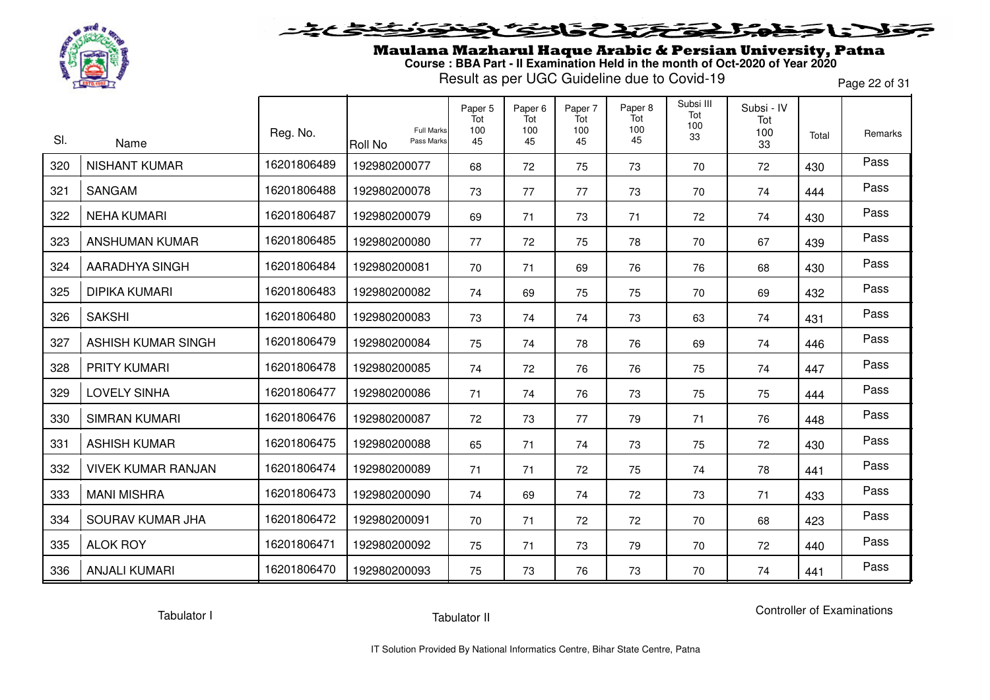

### **SENSCAPE** l = T Ð

Maulana Mazharul Haque Arabic & Persian University, Patna **Course : BBA Part - II Examination Held in the month of Oct-2020 of Year 2020**

Result as per UGC Guideline due to Covid-19

Page 22 of 31

| SI. | Name                      | Reg. No.    | <b>Full Marks</b><br>Pass Marks<br><b>Roll No</b> | Paper 5<br>Tot<br>100<br>45 | Paper 6<br>Tot<br>100<br>45 | Paper 7<br>Tot<br>100<br>45 | Paper 8<br>Tot<br>100<br>45 | Subsi III<br>Tot<br>100<br>33 | Subsi - IV<br>Tot<br>100<br>33 | Total | Remarks |
|-----|---------------------------|-------------|---------------------------------------------------|-----------------------------|-----------------------------|-----------------------------|-----------------------------|-------------------------------|--------------------------------|-------|---------|
| 320 | <b>NISHANT KUMAR</b>      | 16201806489 | 192980200077                                      | 68                          | 72                          | 75                          | 73                          | 70                            | 72                             | 430   | Pass    |
| 321 | SANGAM                    | 16201806488 | 192980200078                                      | 73                          | 77                          | 77                          | 73                          | 70                            | 74                             | 444   | Pass    |
| 322 | <b>NEHA KUMARI</b>        | 16201806487 | 192980200079                                      | 69                          | 71                          | 73                          | 71                          | 72                            | 74                             | 430   | Pass    |
| 323 | ANSHUMAN KUMAR            | 16201806485 | 192980200080                                      | 77                          | 72                          | 75                          | 78                          | 70                            | 67                             | 439   | Pass    |
| 324 | <b>AARADHYA SINGH</b>     | 16201806484 | 192980200081                                      | 70                          | 71                          | 69                          | 76                          | 76                            | 68                             | 430   | Pass    |
| 325 | <b>DIPIKA KUMARI</b>      | 16201806483 | 192980200082                                      | 74                          | 69                          | 75                          | 75                          | 70                            | 69                             | 432   | Pass    |
| 326 | <b>SAKSHI</b>             | 16201806480 | 192980200083                                      | 73                          | 74                          | 74                          | 73                          | 63                            | 74                             | 431   | Pass    |
| 327 | <b>ASHISH KUMAR SINGH</b> | 16201806479 | 192980200084                                      | 75                          | 74                          | 78                          | 76                          | 69                            | 74                             | 446   | Pass    |
| 328 | <b>PRITY KUMARI</b>       | 16201806478 | 192980200085                                      | 74                          | 72                          | 76                          | 76                          | 75                            | 74                             | 447   | Pass    |
| 329 | <b>LOVELY SINHA</b>       | 16201806477 | 192980200086                                      | 71                          | 74                          | 76                          | 73                          | 75                            | 75                             | 444   | Pass    |
| 330 | <b>SIMRAN KUMARI</b>      | 16201806476 | 192980200087                                      | 72                          | 73                          | 77                          | 79                          | 71                            | 76                             | 448   | Pass    |
| 331 | <b>ASHISH KUMAR</b>       | 16201806475 | 192980200088                                      | 65                          | 71                          | 74                          | 73                          | 75                            | 72                             | 430   | Pass    |
| 332 | <b>VIVEK KUMAR RANJAN</b> | 16201806474 | 192980200089                                      | 71                          | 71                          | 72                          | 75                          | 74                            | 78                             | 441   | Pass    |
| 333 | <b>MANI MISHRA</b>        | 16201806473 | 192980200090                                      | 74                          | 69                          | 74                          | 72                          | 73                            | 71                             | 433   | Pass    |
| 334 | SOURAV KUMAR JHA          | 16201806472 | 192980200091                                      | 70                          | 71                          | 72                          | 72                          | 70                            | 68                             | 423   | Pass    |
| 335 | <b>ALOK ROY</b>           | 16201806471 | 192980200092                                      | 75                          | 71                          | 73                          | 79                          | 70                            | 72                             | 440   | Pass    |
| 336 | <b>ANJALI KUMARI</b>      | 16201806470 | 192980200093                                      | 75                          | 73                          | 76                          | 73                          | 70                            | 74                             | 441   | Pass    |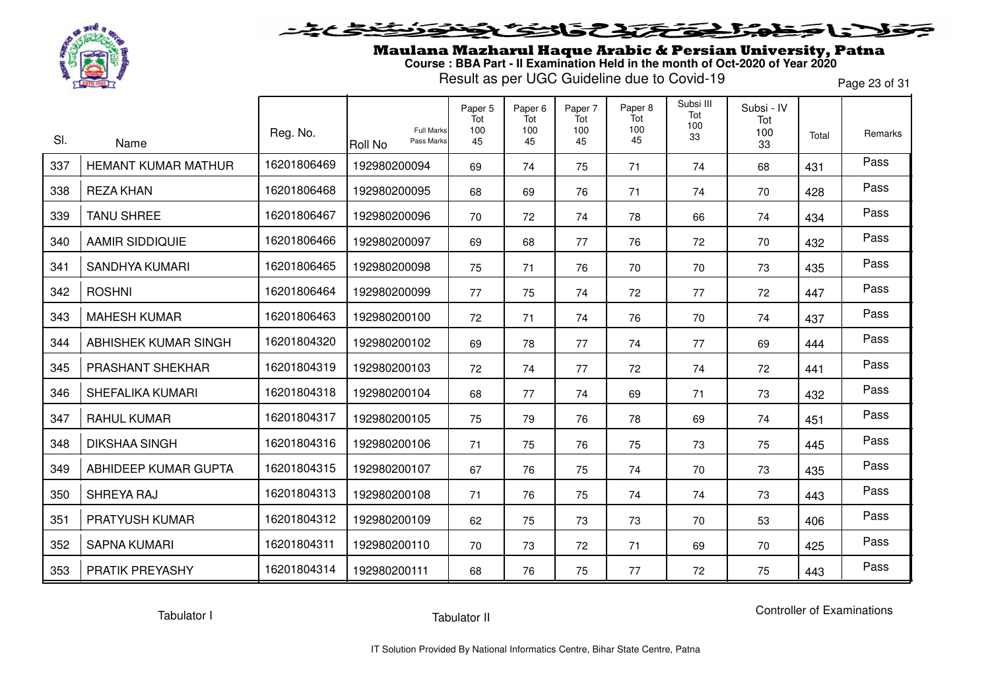

## 5315737 L S T

Maulana Mazharul Haque Arabic & Persian University, Patna **Course : BBA Part - II Examination Held in the month of Oct-2020 of Year 2020**

Result as per UGC Guideline due to Covid-19

Page 23 of 31

| SI. | Name                       | Reg. No.    | <b>Full Marks</b><br>Pass Marks<br><b>Roll No</b> | Paper 5<br>Tot<br>100<br>45 | Paper <sub>6</sub><br>Tot<br>100<br>45 | Paper 7<br>Tot<br>100<br>45 | Paper 8<br>Tot<br>100<br>45 | Subsi III<br>Tot<br>100<br>33 | Subsi - IV<br>Tot<br>100<br>33 | Total | Remarks |
|-----|----------------------------|-------------|---------------------------------------------------|-----------------------------|----------------------------------------|-----------------------------|-----------------------------|-------------------------------|--------------------------------|-------|---------|
| 337 | <b>HEMANT KUMAR MATHUR</b> | 16201806469 | 192980200094                                      | 69                          | 74                                     | 75                          | 71                          | 74                            | 68                             | 431   | Pass    |
| 338 | <b>REZA KHAN</b>           | 16201806468 | 192980200095                                      | 68                          | 69                                     | 76                          | 71                          | 74                            | 70                             | 428   | Pass    |
| 339 | <b>TANU SHREE</b>          | 16201806467 | 192980200096                                      | 70                          | 72                                     | 74                          | 78                          | 66                            | 74                             | 434   | Pass    |
| 340 | <b>AAMIR SIDDIQUIE</b>     | 16201806466 | 192980200097                                      | 69                          | 68                                     | 77                          | 76                          | 72                            | 70                             | 432   | Pass    |
| 341 | SANDHYA KUMARI             | 16201806465 | 192980200098                                      | 75                          | 71                                     | 76                          | 70                          | 70                            | 73                             | 435   | Pass    |
| 342 | <b>ROSHNI</b>              | 16201806464 | 192980200099                                      | 77                          | 75                                     | 74                          | 72                          | 77                            | 72                             | 447   | Pass    |
| 343 | <b>MAHESH KUMAR</b>        | 16201806463 | 192980200100                                      | 72                          | 71                                     | 74                          | 76                          | 70                            | 74                             | 437   | Pass    |
| 344 | ABHISHEK KUMAR SINGH       | 16201804320 | 192980200102                                      | 69                          | 78                                     | 77                          | 74                          | 77                            | 69                             | 444   | Pass    |
| 345 | PRASHANT SHEKHAR           | 16201804319 | 192980200103                                      | 72                          | 74                                     | 77                          | 72                          | 74                            | 72                             | 441   | Pass    |
| 346 | SHEFALIKA KUMARI           | 16201804318 | 192980200104                                      | 68                          | 77                                     | 74                          | 69                          | 71                            | 73                             | 432   | Pass    |
| 347 | <b>RAHUL KUMAR</b>         | 16201804317 | 192980200105                                      | 75                          | 79                                     | 76                          | 78                          | 69                            | 74                             | 451   | Pass    |
| 348 | <b>DIKSHAA SINGH</b>       | 16201804316 | 192980200106                                      | 71                          | 75                                     | 76                          | 75                          | 73                            | 75                             | 445   | Pass    |
| 349 | ABHIDEEP KUMAR GUPTA       | 16201804315 | 192980200107                                      | 67                          | 76                                     | 75                          | 74                          | 70                            | 73                             | 435   | Pass    |
| 350 | SHREYA RAJ                 | 16201804313 | 192980200108                                      | 71                          | 76                                     | 75                          | 74                          | 74                            | 73                             | 443   | Pass    |
| 351 | PRATYUSH KUMAR             | 16201804312 | 192980200109                                      | 62                          | 75                                     | 73                          | 73                          | 70                            | 53                             | 406   | Pass    |
| 352 | <b>SAPNA KUMARI</b>        | 16201804311 | 192980200110                                      | 70                          | 73                                     | 72                          | 71                          | 69                            | 70                             | 425   | Pass    |
| 353 | PRATIK PREYASHY            | 16201804314 | 192980200111                                      | 68                          | 76                                     | 75                          | 77                          | 72                            | 75                             | 443   | Pass    |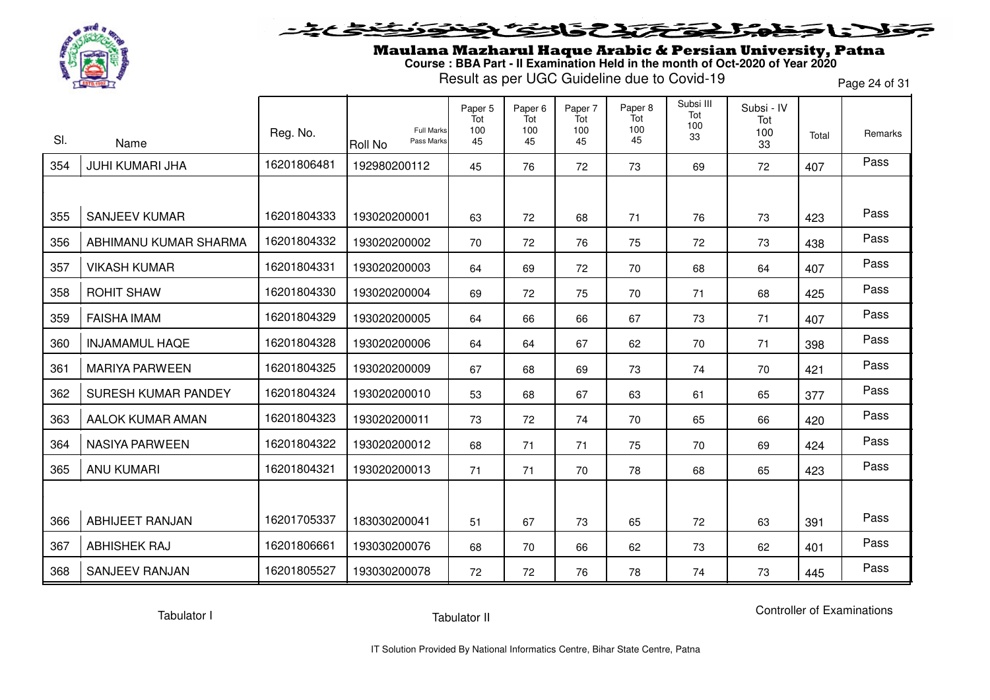

Maulana Mazharul Haque Arabic & Persian University, Patna **Course : BBA Part - II Examination Held in the month of Oct-2020 of Year 2020**

Result as per UGC Guideline due to Covid-19

Page 24 of 31

| SI. | Name                    | Reg. No.    | <b>Full Marks</b><br>Pass Marks<br><b>Roll No</b> | Paper 5<br>Tot<br>100<br>45 | Paper <sub>6</sub><br>Tot<br>100<br>45 | Paper 7<br>Tot<br>100<br>45 | Paper 8<br>Tot<br>100<br>45 | Subsi III<br>Tot<br>100<br>33 | Subsi - IV<br>Tot<br>100<br>33 | Total | Remarks |
|-----|-------------------------|-------------|---------------------------------------------------|-----------------------------|----------------------------------------|-----------------------------|-----------------------------|-------------------------------|--------------------------------|-------|---------|
| 354 | <b>JUHI KUMARI JHA</b>  | 16201806481 | 192980200112                                      | 45                          | 76                                     | 72                          | 73                          | 69                            | 72                             | 407   | Pass    |
|     |                         |             |                                                   |                             |                                        |                             |                             |                               |                                |       |         |
| 355 | <b>SANJEEV KUMAR</b>    | 16201804333 | 193020200001                                      | 63                          | 72                                     | 68                          | 71                          | 76                            | 73                             | 423   | Pass    |
| 356 | ABHIMANU KUMAR SHARMA   | 16201804332 | 193020200002                                      | 70                          | 72                                     | 76                          | 75                          | 72                            | 73                             | 438   | Pass    |
| 357 | <b>VIKASH KUMAR</b>     | 16201804331 | 193020200003                                      | 64                          | 69                                     | 72                          | 70                          | 68                            | 64                             | 407   | Pass    |
| 358 | <b>ROHIT SHAW</b>       | 16201804330 | 193020200004                                      | 69                          | 72                                     | 75                          | 70                          | 71                            | 68                             | 425   | Pass    |
| 359 | <b>FAISHA IMAM</b>      | 16201804329 | 193020200005                                      | 64                          | 66                                     | 66                          | 67                          | 73                            | 71                             | 407   | Pass    |
| 360 | <b>INJAMAMUL HAQE</b>   | 16201804328 | 193020200006                                      | 64                          | 64                                     | 67                          | 62                          | 70                            | 71                             | 398   | Pass    |
| 361 | <b>MARIYA PARWEEN</b>   | 16201804325 | 193020200009                                      | 67                          | 68                                     | 69                          | 73                          | 74                            | 70                             | 421   | Pass    |
| 362 | SURESH KUMAR PANDEY     | 16201804324 | 193020200010                                      | 53                          | 68                                     | 67                          | 63                          | 61                            | 65                             | 377   | Pass    |
| 363 | <b>AALOK KUMAR AMAN</b> | 16201804323 | 193020200011                                      | 73                          | 72                                     | 74                          | 70                          | 65                            | 66                             | 420   | Pass    |
| 364 | <b>NASIYA PARWEEN</b>   | 16201804322 | 193020200012                                      | 68                          | 71                                     | 71                          | 75                          | 70                            | 69                             | 424   | Pass    |
| 365 | <b>ANU KUMARI</b>       | 16201804321 | 193020200013                                      | 71                          | 71                                     | 70                          | 78                          | 68                            | 65                             | 423   | Pass    |
|     |                         |             |                                                   |                             |                                        |                             |                             |                               |                                |       |         |
| 366 | <b>ABHIJEET RANJAN</b>  | 16201705337 | 183030200041                                      | 51                          | 67                                     | 73                          | 65                          | 72                            | 63                             | 391   | Pass    |
| 367 | <b>ABHISHEK RAJ</b>     | 16201806661 | 193030200076                                      | 68                          | 70                                     | 66                          | 62                          | 73                            | 62                             | 401   | Pass    |
| 368 | <b>SANJEEV RANJAN</b>   | 16201805527 | 193030200078                                      | 72                          | 72                                     | 76                          | 78                          | 74                            | 73                             | 445   | Pass    |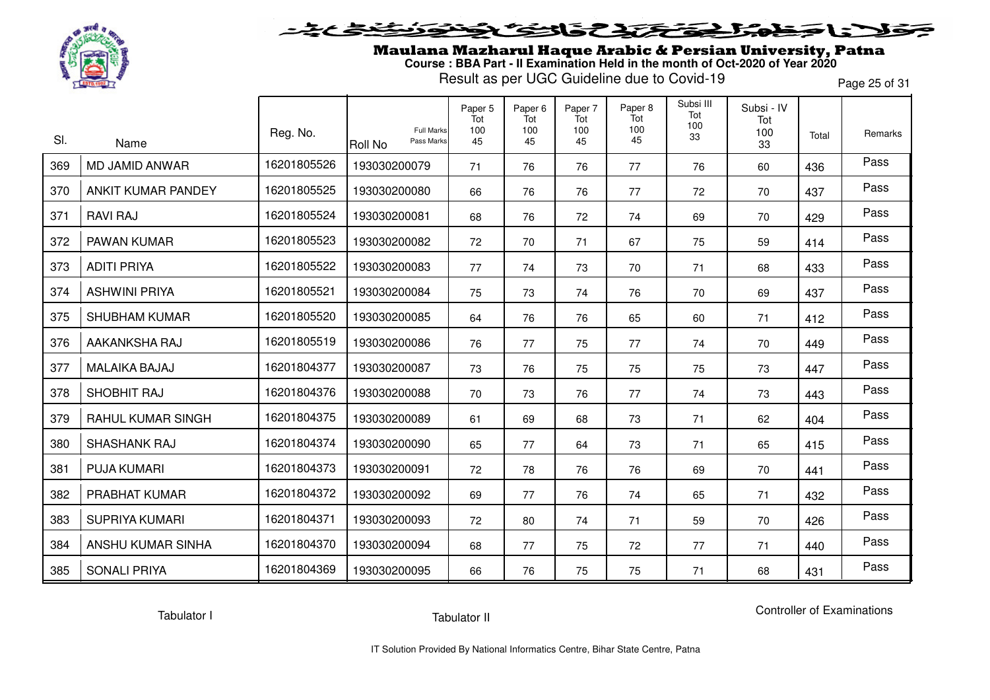

### **SENSEAT**  $\blacktriangleright$ l = "

Maulana Mazharul Haque Arabic & Persian University, Patna **Course : BBA Part - II Examination Held in the month of Oct-2020 of Year 2020**

Result as per UGC Guideline due to Covid-19

Page 25 of 31

| SI. | Name                  | Reg. No.    | <b>Full Marks</b><br>Pass Marks<br>Roll No | Paper 5<br>Tot<br>100<br>45 | Paper <sub>6</sub><br>Tot<br>100<br>45 | Paper 7<br>Tot<br>100<br>45 | Paper 8<br>Tot<br>100<br>45 | Subsi III<br>Tot<br>100<br>33 | Subsi - IV<br>Tot<br>100<br>33 | Total | Remarks |
|-----|-----------------------|-------------|--------------------------------------------|-----------------------------|----------------------------------------|-----------------------------|-----------------------------|-------------------------------|--------------------------------|-------|---------|
| 369 | MD JAMID ANWAR        | 16201805526 | 193030200079                               | 71                          | 76                                     | 76                          | 77                          | 76                            | 60                             | 436   | Pass    |
| 370 | ANKIT KUMAR PANDEY    | 16201805525 | 193030200080                               | 66                          | 76                                     | 76                          | 77                          | 72                            | 70                             | 437   | Pass    |
| 371 | <b>RAVI RAJ</b>       | 16201805524 | 193030200081                               | 68                          | 76                                     | 72                          | 74                          | 69                            | 70                             | 429   | Pass    |
| 372 | PAWAN KUMAR           | 16201805523 | 193030200082                               | 72                          | 70                                     | 71                          | 67                          | 75                            | 59                             | 414   | Pass    |
| 373 | <b>ADITI PRIYA</b>    | 16201805522 | 193030200083                               | 77                          | 74                                     | 73                          | 70                          | 71                            | 68                             | 433   | Pass    |
| 374 | <b>ASHWINI PRIYA</b>  | 16201805521 | 193030200084                               | 75                          | 73                                     | 74                          | 76                          | 70                            | 69                             | 437   | Pass    |
| 375 | <b>SHUBHAM KUMAR</b>  | 16201805520 | 193030200085                               | 64                          | 76                                     | 76                          | 65                          | 60                            | 71                             | 412   | Pass    |
| 376 | AAKANKSHA RAJ         | 16201805519 | 193030200086                               | 76                          | 77                                     | 75                          | 77                          | 74                            | 70                             | 449   | Pass    |
| 377 | <b>MALAIKA BAJAJ</b>  | 16201804377 | 193030200087                               | 73                          | 76                                     | 75                          | 75                          | 75                            | 73                             | 447   | Pass    |
| 378 | SHOBHIT RAJ           | 16201804376 | 193030200088                               | 70                          | 73                                     | 76                          | 77                          | 74                            | 73                             | 443   | Pass    |
| 379 | RAHUL KUMAR SINGH     | 16201804375 | 193030200089                               | 61                          | 69                                     | 68                          | 73                          | 71                            | 62                             | 404   | Pass    |
| 380 | <b>SHASHANK RAJ</b>   | 16201804374 | 193030200090                               | 65                          | 77                                     | 64                          | 73                          | 71                            | 65                             | 415   | Pass    |
| 381 | <b>PUJA KUMARI</b>    | 16201804373 | 193030200091                               | 72                          | 78                                     | 76                          | 76                          | 69                            | 70                             | 441   | Pass    |
| 382 | PRABHAT KUMAR         | 16201804372 | 193030200092                               | 69                          | 77                                     | 76                          | 74                          | 65                            | 71                             | 432   | Pass    |
| 383 | <b>SUPRIYA KUMARI</b> | 16201804371 | 193030200093                               | 72                          | 80                                     | 74                          | 71                          | 59                            | 70                             | 426   | Pass    |
| 384 | ANSHU KUMAR SINHA     | 16201804370 | 193030200094                               | 68                          | 77                                     | 75                          | 72                          | 77                            | 71                             | 440   | Pass    |
| 385 | <b>SONALI PRIYA</b>   | 16201804369 | 193030200095                               | 66                          | 76                                     | 75                          | 75                          | 71                            | 68                             | 431   | Pass    |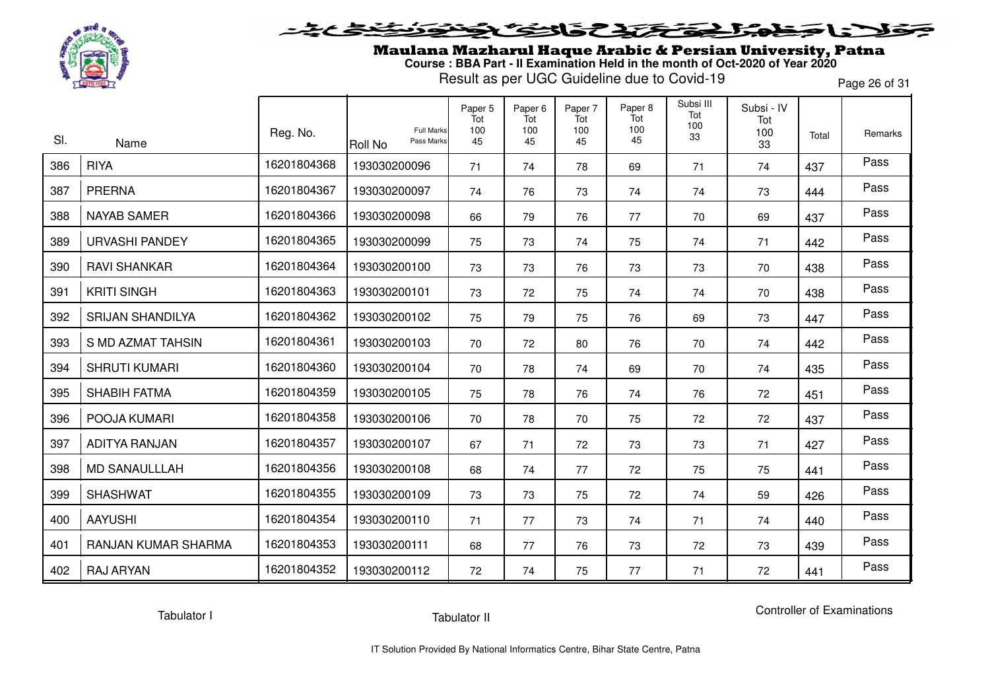

## 5315737 LE E

Maulana Mazharul Haque Arabic & Persian University, Patna **Course : BBA Part - II Examination Held in the month of Oct-2020 of Year 2020**

Result as per UGC Guideline due to Covid-19

Page 26 of 31

| SI. | Name                    | Reg. No.    | <b>Full Marks</b><br>Pass Marks<br>Roll No | Paper 5<br>Tot<br>100<br>45 | Paper 6<br>Tot<br>100<br>45 | Paper 7<br>Tot<br>100<br>45 | Paper 8<br>Tot<br>100<br>45 | Subsi III<br>Tot<br>100<br>33 | Subsi - IV<br>Tot<br>100<br>33 | Total | Remarks |
|-----|-------------------------|-------------|--------------------------------------------|-----------------------------|-----------------------------|-----------------------------|-----------------------------|-------------------------------|--------------------------------|-------|---------|
| 386 | <b>RIYA</b>             | 16201804368 | 193030200096                               | 71                          | 74                          | 78                          | 69                          | 71                            | 74                             | 437   | Pass    |
| 387 | <b>PRERNA</b>           | 16201804367 | 193030200097                               | 74                          | 76                          | 73                          | 74                          | 74                            | 73                             | 444   | Pass    |
| 388 | <b>NAYAB SAMER</b>      | 16201804366 | 193030200098                               | 66                          | 79                          | 76                          | 77                          | 70                            | 69                             | 437   | Pass    |
| 389 | <b>URVASHI PANDEY</b>   | 16201804365 | 193030200099                               | 75                          | 73                          | 74                          | 75                          | 74                            | 71                             | 442   | Pass    |
| 390 | <b>RAVI SHANKAR</b>     | 16201804364 | 193030200100                               | 73                          | 73                          | 76                          | 73                          | 73                            | 70                             | 438   | Pass    |
| 391 | <b>KRITI SINGH</b>      | 16201804363 | 193030200101                               | 73                          | 72                          | 75                          | 74                          | 74                            | 70                             | 438   | Pass    |
| 392 | <b>SRIJAN SHANDILYA</b> | 16201804362 | 193030200102                               | 75                          | 79                          | 75                          | 76                          | 69                            | 73                             | 447   | Pass    |
| 393 | S MD AZMAT TAHSIN       | 16201804361 | 193030200103                               | 70                          | 72                          | 80                          | 76                          | 70                            | 74                             | 442   | Pass    |
| 394 | <b>SHRUTI KUMARI</b>    | 16201804360 | 193030200104                               | 70                          | 78                          | 74                          | 69                          | 70                            | 74                             | 435   | Pass    |
| 395 | <b>SHABIH FATMA</b>     | 16201804359 | 193030200105                               | 75                          | 78                          | 76                          | 74                          | 76                            | 72                             | 451   | Pass    |
| 396 | POOJA KUMARI            | 16201804358 | 193030200106                               | 70                          | 78                          | 70                          | 75                          | 72                            | 72                             | 437   | Pass    |
| 397 | <b>ADITYA RANJAN</b>    | 16201804357 | 193030200107                               | 67                          | 71                          | 72                          | 73                          | 73                            | 71                             | 427   | Pass    |
| 398 | <b>MD SANAULLLAH</b>    | 16201804356 | 193030200108                               | 68                          | 74                          | 77                          | 72                          | 75                            | 75                             | 441   | Pass    |
| 399 | <b>SHASHWAT</b>         | 16201804355 | 193030200109                               | 73                          | 73                          | 75                          | 72                          | 74                            | 59                             | 426   | Pass    |
| 400 | <b>AAYUSHI</b>          | 16201804354 | 193030200110                               | 71                          | 77                          | 73                          | 74                          | 71                            | 74                             | 440   | Pass    |
| 401 | RANJAN KUMAR SHARMA     | 16201804353 | 193030200111                               | 68                          | 77                          | 76                          | 73                          | 72                            | 73                             | 439   | Pass    |
| 402 | <b>RAJ ARYAN</b>        | 16201804352 | 193030200112                               | 72                          | 74                          | 75                          | 77                          | 71                            | 72                             | 441   | Pass    |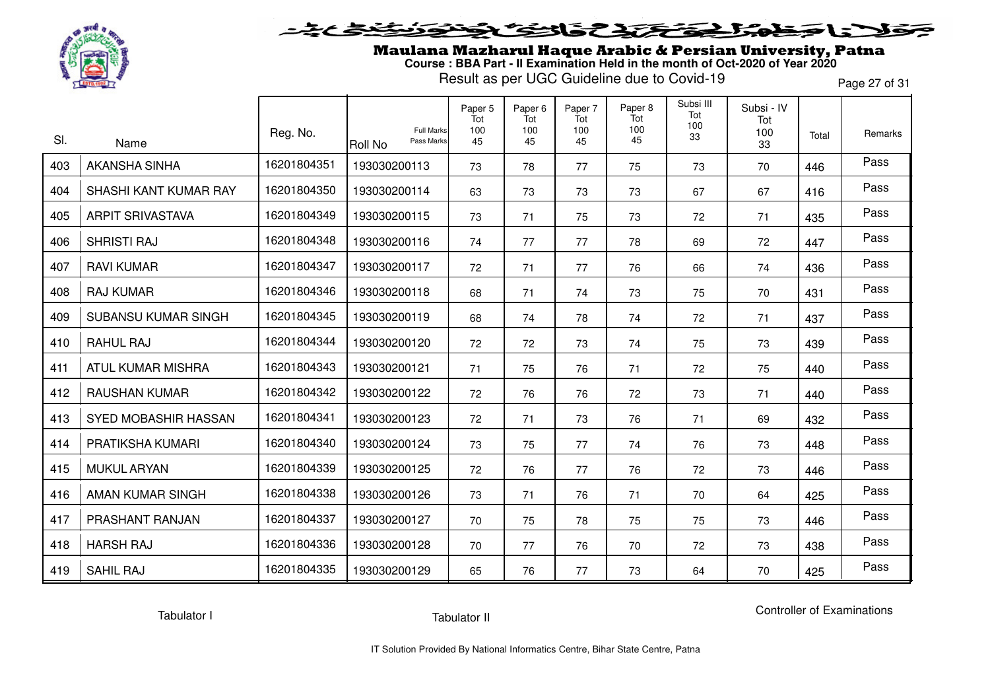

## 5315237 いこ こ

Maulana Mazharul Haque Arabic & Persian University, Patna **Course : BBA Part - II Examination Held in the month of Oct-2020 of Year 2020**

Result as per UGC Guideline due to Covid-19

Page 27 of 31

| SI. |                              | Reg. No.    | <b>Full Marks</b><br>Pass Marks | Paper 5<br>Tot<br>100<br>45 | Paper <sub>6</sub><br>Tot<br>100 | Paper 7<br>Tot<br>100 | Paper 8<br>Tot<br>100<br>45 | Subsi III<br>Tot<br>100<br>33 | Subsi - IV<br>Tot<br>100 | Total | Remarks |
|-----|------------------------------|-------------|---------------------------------|-----------------------------|----------------------------------|-----------------------|-----------------------------|-------------------------------|--------------------------|-------|---------|
| 403 | Name<br><b>AKANSHA SINHA</b> | 16201804351 | Roll No<br>193030200113         |                             | 45                               | 45                    |                             |                               | 33                       |       | Pass    |
|     |                              |             |                                 | 73                          | 78                               | 77                    | 75                          | 73                            | 70                       | 446   |         |
| 404 | SHASHI KANT KUMAR RAY        | 16201804350 | 193030200114                    | 63                          | 73                               | 73                    | 73                          | 67                            | 67                       | 416   | Pass    |
| 405 | <b>ARPIT SRIVASTAVA</b>      | 16201804349 | 193030200115                    | 73                          | 71                               | 75                    | 73                          | 72                            | 71                       | 435   | Pass    |
| 406 | <b>SHRISTI RAJ</b>           | 16201804348 | 193030200116                    | 74                          | 77                               | 77                    | 78                          | 69                            | 72                       | 447   | Pass    |
| 407 | <b>RAVI KUMAR</b>            | 16201804347 | 193030200117                    | 72                          | 71                               | 77                    | 76                          | 66                            | 74                       | 436   | Pass    |
| 408 | <b>RAJ KUMAR</b>             | 16201804346 | 193030200118                    | 68                          | 71                               | 74                    | 73                          | 75                            | 70                       | 431   | Pass    |
| 409 | <b>SUBANSU KUMAR SINGH</b>   | 16201804345 | 193030200119                    | 68                          | 74                               | 78                    | 74                          | 72                            | 71                       | 437   | Pass    |
| 410 | <b>RAHUL RAJ</b>             | 16201804344 | 193030200120                    | 72                          | 72                               | 73                    | 74                          | 75                            | 73                       | 439   | Pass    |
| 411 | <b>ATUL KUMAR MISHRA</b>     | 16201804343 | 193030200121                    | 71                          | 75                               | 76                    | 71                          | 72                            | 75                       | 440   | Pass    |
| 412 | <b>RAUSHAN KUMAR</b>         | 16201804342 | 193030200122                    | 72                          | 76                               | 76                    | 72                          | 73                            | 71                       | 440   | Pass    |
| 413 | SYED MOBASHIR HASSAN         | 16201804341 | 193030200123                    | 72                          | 71                               | 73                    | 76                          | 71                            | 69                       | 432   | Pass    |
| 414 | PRATIKSHA KUMARI             | 16201804340 | 193030200124                    | 73                          | 75                               | 77                    | 74                          | 76                            | 73                       | 448   | Pass    |
| 415 | <b>MUKUL ARYAN</b>           | 16201804339 | 193030200125                    | 72                          | 76                               | 77                    | 76                          | 72                            | 73                       | 446   | Pass    |
| 416 | AMAN KUMAR SINGH             | 16201804338 | 193030200126                    | 73                          | 71                               | 76                    | 71                          | 70                            | 64                       | 425   | Pass    |
| 417 | PRASHANT RANJAN              | 16201804337 | 193030200127                    | 70                          | 75                               | 78                    | 75                          | 75                            | 73                       | 446   | Pass    |
| 418 | <b>HARSH RAJ</b>             | 16201804336 | 193030200128                    | 70                          | 77                               | 76                    | 70                          | 72                            | 73                       | 438   | Pass    |
| 419 | <b>SAHIL RAJ</b>             | 16201804335 | 193030200129                    | 65                          | 76                               | 77                    | 73                          | 64                            | 70                       | 425   | Pass    |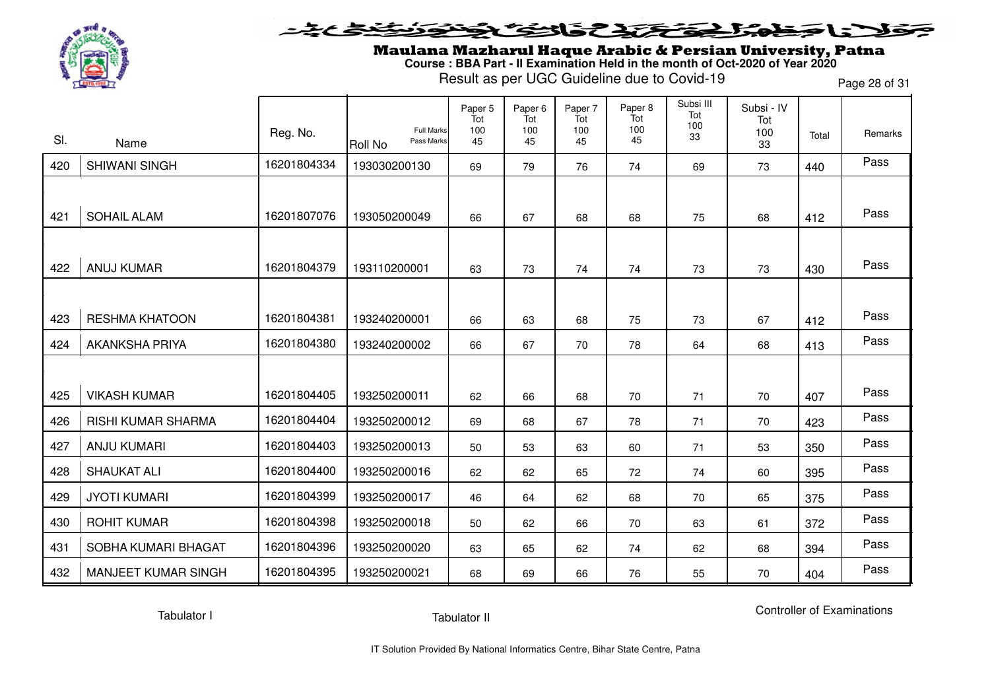

#### **SENSTRES** LS - $\blacktriangleright$

Maulana Mazharul Haque Arabic & Persian University, Patna **Course : BBA Part - II Examination Held in the month of Oct-2020 of Year 2020**

Result as per UGC Guideline due to Covid-19

Page 28 of 31

|     |                            | Reg. No.    | <b>Full Marks</b>     | Paper 5<br>Tot<br>100 | Paper <sub>6</sub><br>Tot<br>100 | Paper 7<br>Tot<br>100 | Paper 8<br>Tot<br>100 | Subsi III<br>Tot<br>100<br>33 | Subsi - IV<br>Tot<br>100 | Total | Remarks |
|-----|----------------------------|-------------|-----------------------|-----------------------|----------------------------------|-----------------------|-----------------------|-------------------------------|--------------------------|-------|---------|
| SI. | Name                       |             | Pass Marks<br>Roll No | 45                    | 45                               | 45                    | 45                    |                               | 33                       |       |         |
| 420 | <b>SHIWANI SINGH</b>       | 16201804334 | 193030200130          | 69                    | 79                               | 76                    | 74                    | 69                            | 73                       | 440   | Pass    |
|     |                            |             |                       |                       |                                  |                       |                       |                               |                          |       |         |
| 421 | <b>SOHAIL ALAM</b>         | 16201807076 | 193050200049          | 66                    | 67                               | 68                    | 68                    | 75                            | 68                       | 412   | Pass    |
|     |                            |             |                       |                       |                                  |                       |                       |                               |                          |       |         |
| 422 | <b>ANUJ KUMAR</b>          | 16201804379 | 193110200001          | 63                    | 73                               | 74                    | 74                    | 73                            | 73                       | 430   | Pass    |
|     |                            |             |                       |                       |                                  |                       |                       |                               |                          |       |         |
| 423 | <b>RESHMA KHATOON</b>      | 16201804381 | 193240200001          | 66                    | 63                               | 68                    | 75                    | 73                            | 67                       | 412   | Pass    |
| 424 | <b>AKANKSHA PRIYA</b>      | 16201804380 | 193240200002          | 66                    | 67                               | 70                    | 78                    | 64                            | 68                       | 413   | Pass    |
|     |                            |             |                       |                       |                                  |                       |                       |                               |                          |       |         |
| 425 | <b>VIKASH KUMAR</b>        | 16201804405 | 193250200011          | 62                    | 66                               | 68                    | 70                    | 71                            | 70                       | 407   | Pass    |
| 426 | <b>RISHI KUMAR SHARMA</b>  | 16201804404 | 193250200012          | 69                    | 68                               | 67                    | 78                    | 71                            | 70                       | 423   | Pass    |
| 427 | <b>ANJU KUMARI</b>         | 16201804403 | 193250200013          | 50                    | 53                               | 63                    | 60                    | 71                            | 53                       | 350   | Pass    |
| 428 | <b>SHAUKAT ALI</b>         | 16201804400 | 193250200016          | 62                    | 62                               | 65                    | 72                    | 74                            | 60                       | 395   | Pass    |
| 429 | <b>JYOTI KUMARI</b>        | 16201804399 | 193250200017          | 46                    | 64                               | 62                    | 68                    | 70                            | 65                       | 375   | Pass    |
| 430 | <b>ROHIT KUMAR</b>         | 16201804398 | 193250200018          | 50                    | 62                               | 66                    | 70                    | 63                            | 61                       | 372   | Pass    |
| 431 | SOBHA KUMARI BHAGAT        | 16201804396 | 193250200020          | 63                    | 65                               | 62                    | 74                    | 62                            | 68                       | 394   | Pass    |
| 432 | <b>MANJEET KUMAR SINGH</b> | 16201804395 | 193250200021          | 68                    | 69                               | 66                    | 76                    | 55                            | 70                       | 404   | Pass    |

Tabulator I

Tabulator II

Controller of Examinations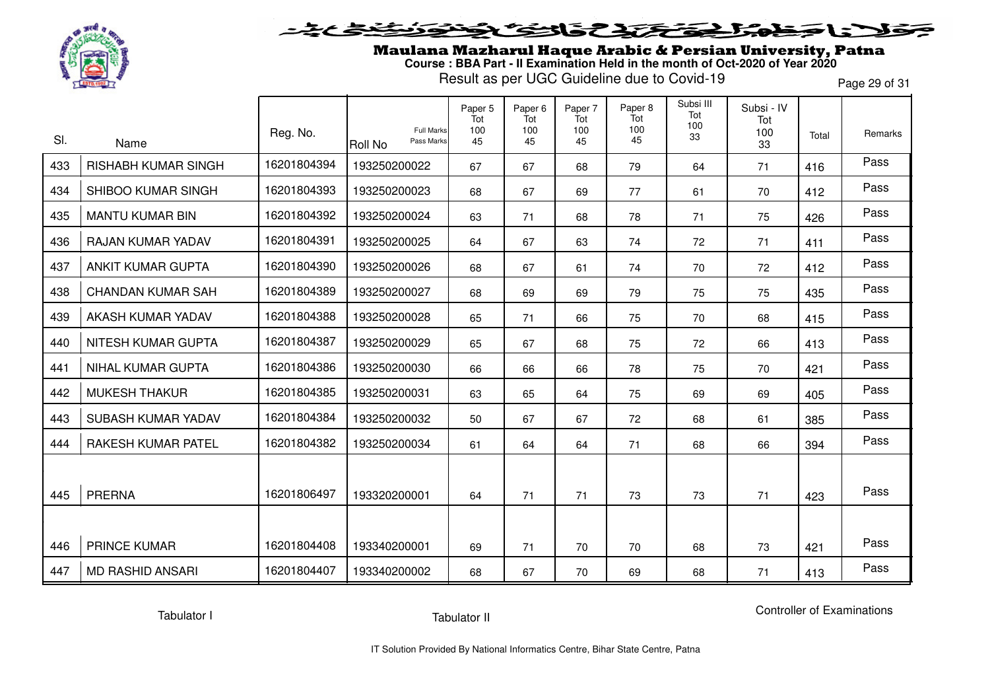

## 5315737 LE E

Maulana Mazharul Haque Arabic & Persian University, Patna **Course : BBA Part - II Examination Held in the month of Oct-2020 of Year 2020**

Result as per UGC Guideline due to Covid-19

Page 29 of 31

|     |                            |             |                                                   | Paper 5<br>Tot | Paper <sub>6</sub><br>Tot | Paper 7<br>Tot | Paper 8<br>Tot<br>100 | Subsi III<br>Tot<br>100 | Subsi - IV<br>Tot |       |         |
|-----|----------------------------|-------------|---------------------------------------------------|----------------|---------------------------|----------------|-----------------------|-------------------------|-------------------|-------|---------|
| SI. | Name                       | Reg. No.    | <b>Full Marks</b><br>Pass Marks<br><b>Roll No</b> | 100<br>45      | 100<br>45                 | 100<br>45      | 45                    | 33                      | 100<br>33         | Total | Remarks |
| 433 | <b>RISHABH KUMAR SINGH</b> | 16201804394 | 193250200022                                      | 67             | 67                        | 68             | 79                    | 64                      | 71                | 416   | Pass    |
| 434 | SHIBOO KUMAR SINGH         | 16201804393 | 193250200023                                      | 68             | 67                        | 69             | 77                    | 61                      | 70                | 412   | Pass    |
| 435 | <b>MANTU KUMAR BIN</b>     | 16201804392 | 193250200024                                      | 63             | 71                        | 68             | 78                    | 71                      | 75                | 426   | Pass    |
| 436 | RAJAN KUMAR YADAV          | 16201804391 | 193250200025                                      | 64             | 67                        | 63             | 74                    | 72                      | 71                | 411   | Pass    |
| 437 | <b>ANKIT KUMAR GUPTA</b>   | 16201804390 | 193250200026                                      | 68             | 67                        | 61             | 74                    | 70                      | 72                | 412   | Pass    |
| 438 | <b>CHANDAN KUMAR SAH</b>   | 16201804389 | 193250200027                                      | 68             | 69                        | 69             | 79                    | 75                      | 75                | 435   | Pass    |
| 439 | AKASH KUMAR YADAV          | 16201804388 | 193250200028                                      | 65             | 71                        | 66             | 75                    | 70                      | 68                | 415   | Pass    |
| 440 | NITESH KUMAR GUPTA         | 16201804387 | 193250200029                                      | 65             | 67                        | 68             | 75                    | 72                      | 66                | 413   | Pass    |
| 441 | <b>NIHAL KUMAR GUPTA</b>   | 16201804386 | 193250200030                                      | 66             | 66                        | 66             | 78                    | 75                      | 70                | 421   | Pass    |
| 442 | <b>MUKESH THAKUR</b>       | 16201804385 | 193250200031                                      | 63             | 65                        | 64             | 75                    | 69                      | 69                | 405   | Pass    |
| 443 | SUBASH KUMAR YADAV         | 16201804384 | 193250200032                                      | 50             | 67                        | 67             | 72                    | 68                      | 61                | 385   | Pass    |
| 444 | RAKESH KUMAR PATEL         | 16201804382 | 193250200034                                      | 61             | 64                        | 64             | 71                    | 68                      | 66                | 394   | Pass    |
|     |                            |             |                                                   |                |                           |                |                       |                         |                   |       |         |
| 445 | <b>PRERNA</b>              | 16201806497 | 193320200001                                      | 64             | 71                        | 71             | 73                    | 73                      | 71                | 423   | Pass    |
|     |                            |             |                                                   |                |                           |                |                       |                         |                   |       |         |
| 446 | <b>PRINCE KUMAR</b>        | 16201804408 | 193340200001                                      | 69             | 71                        | 70             | 70                    | 68                      | 73                | 421   | Pass    |
| 447 | <b>MD RASHID ANSARI</b>    | 16201804407 | 193340200002                                      | 68             | 67                        | 70             | 69                    | 68                      | 71                | 413   | Pass    |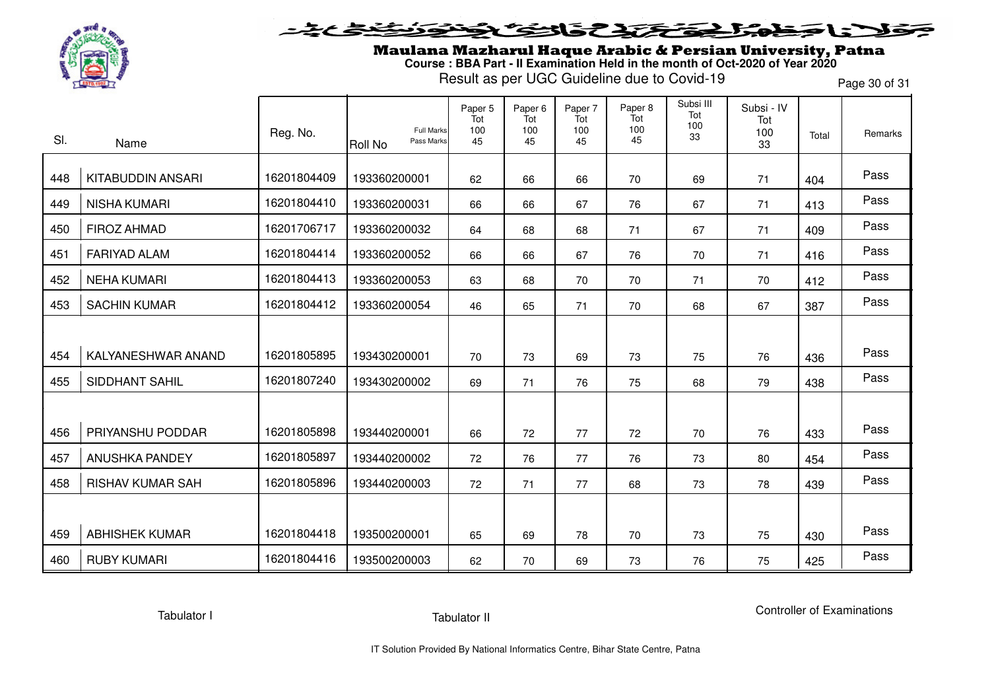

#### **SENSCAP** l = T  $\rightarrow$

Maulana Mazharul Haque Arabic & Persian University, Patna **Course : BBA Part - II Examination Held in the month of Oct-2020 of Year 2020**

Result as per UGC Guideline due to Covid-19

Page 30 of 31

|     |                         | Reg. No.    | Full Marks                   | Paper 5<br>Tot<br>100 | Paper 6<br>Tot<br>100 | Paper 7<br>Tot<br>100 | Paper 8<br>Tot<br>100 | Subsi III<br>Tot<br>100<br>33 | Subsi - IV<br>Tot<br>100 | Total | Remarks |
|-----|-------------------------|-------------|------------------------------|-----------------------|-----------------------|-----------------------|-----------------------|-------------------------------|--------------------------|-------|---------|
| SI. | Name                    |             | Pass Marks<br><b>Roll No</b> | 45                    | 45                    | 45                    | 45                    |                               | 33                       |       |         |
| 448 | KITABUDDIN ANSARI       | 16201804409 | 193360200001                 | 62                    | 66                    | 66                    | 70                    | 69                            | 71                       | 404   | Pass    |
| 449 | <b>NISHA KUMARI</b>     | 16201804410 | 193360200031                 | 66                    | 66                    | 67                    | 76                    | 67                            | 71                       | 413   | Pass    |
| 450 | <b>FIROZ AHMAD</b>      | 16201706717 | 193360200032                 | 64                    | 68                    | 68                    | 71                    | 67                            | 71                       | 409   | Pass    |
| 451 | <b>FARIYAD ALAM</b>     | 16201804414 | 193360200052                 | 66                    | 66                    | 67                    | 76                    | 70                            | 71                       | 416   | Pass    |
| 452 | <b>NEHA KUMARI</b>      | 16201804413 | 193360200053                 | 63                    | 68                    | 70                    | 70                    | 71                            | 70                       | 412   | Pass    |
| 453 | <b>SACHIN KUMAR</b>     | 16201804412 | 193360200054                 | 46                    | 65                    | 71                    | 70                    | 68                            | 67                       | 387   | Pass    |
|     |                         |             |                              |                       |                       |                       |                       |                               |                          |       |         |
| 454 | KALYANESHWAR ANAND      | 16201805895 | 193430200001                 | 70                    | 73                    | 69                    | 73                    | 75                            | 76                       | 436   | Pass    |
| 455 | <b>SIDDHANT SAHIL</b>   | 16201807240 | 193430200002                 | 69                    | 71                    | 76                    | 75                    | 68                            | 79                       | 438   | Pass    |
|     |                         |             |                              |                       |                       |                       |                       |                               |                          |       |         |
| 456 | PRIYANSHU PODDAR        | 16201805898 | 193440200001                 | 66                    | 72                    | 77                    | 72                    | 70                            | 76                       | 433   | Pass    |
| 457 | <b>ANUSHKA PANDEY</b>   | 16201805897 | 193440200002                 | 72                    | 76                    | 77                    | 76                    | 73                            | 80                       | 454   | Pass    |
| 458 | <b>RISHAV KUMAR SAH</b> | 16201805896 | 193440200003                 | 72                    | 71                    | 77                    | 68                    | 73                            | 78                       | 439   | Pass    |
|     |                         |             |                              |                       |                       |                       |                       |                               |                          |       |         |
| 459 | <b>ABHISHEK KUMAR</b>   | 16201804418 | 193500200001                 | 65                    | 69                    | 78                    | 70                    | 73                            | 75                       | 430   | Pass    |
| 460 | <b>RUBY KUMARI</b>      | 16201804416 | 193500200003                 | 62                    | 70                    | 69                    | 73                    | 76                            | 75                       | 425   | Pass    |

Tabulator I

Tabulator II

Controller of Examinations